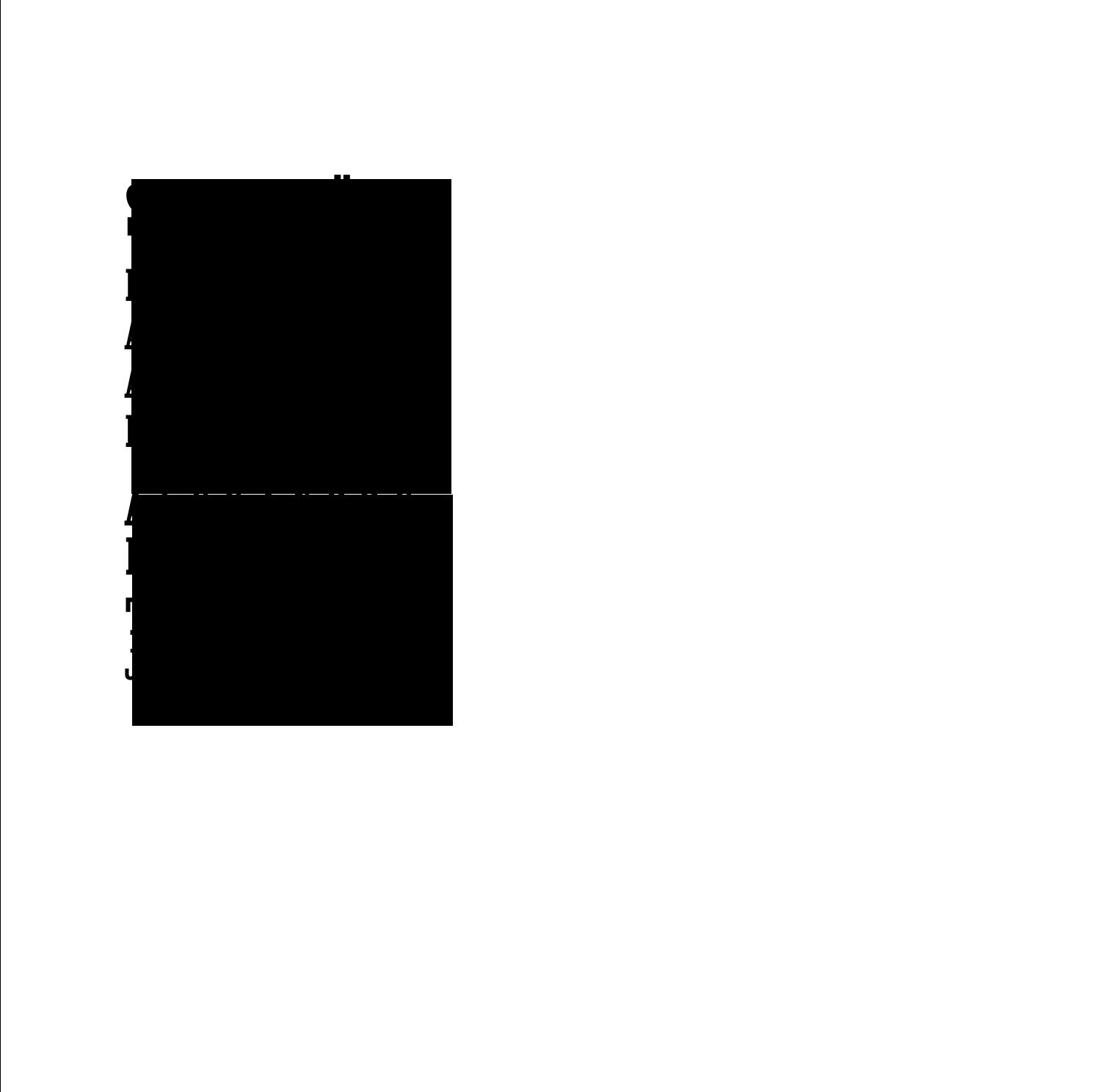AINT-SAËNS Piano Concertos 1 & 2 Africa · Wedding Cake Allegro appassionato Rhapsodie d´Auvergne **LEXANDRE ANTOROW** Tapiola Sinfonietta Jean-Jacques Kantorow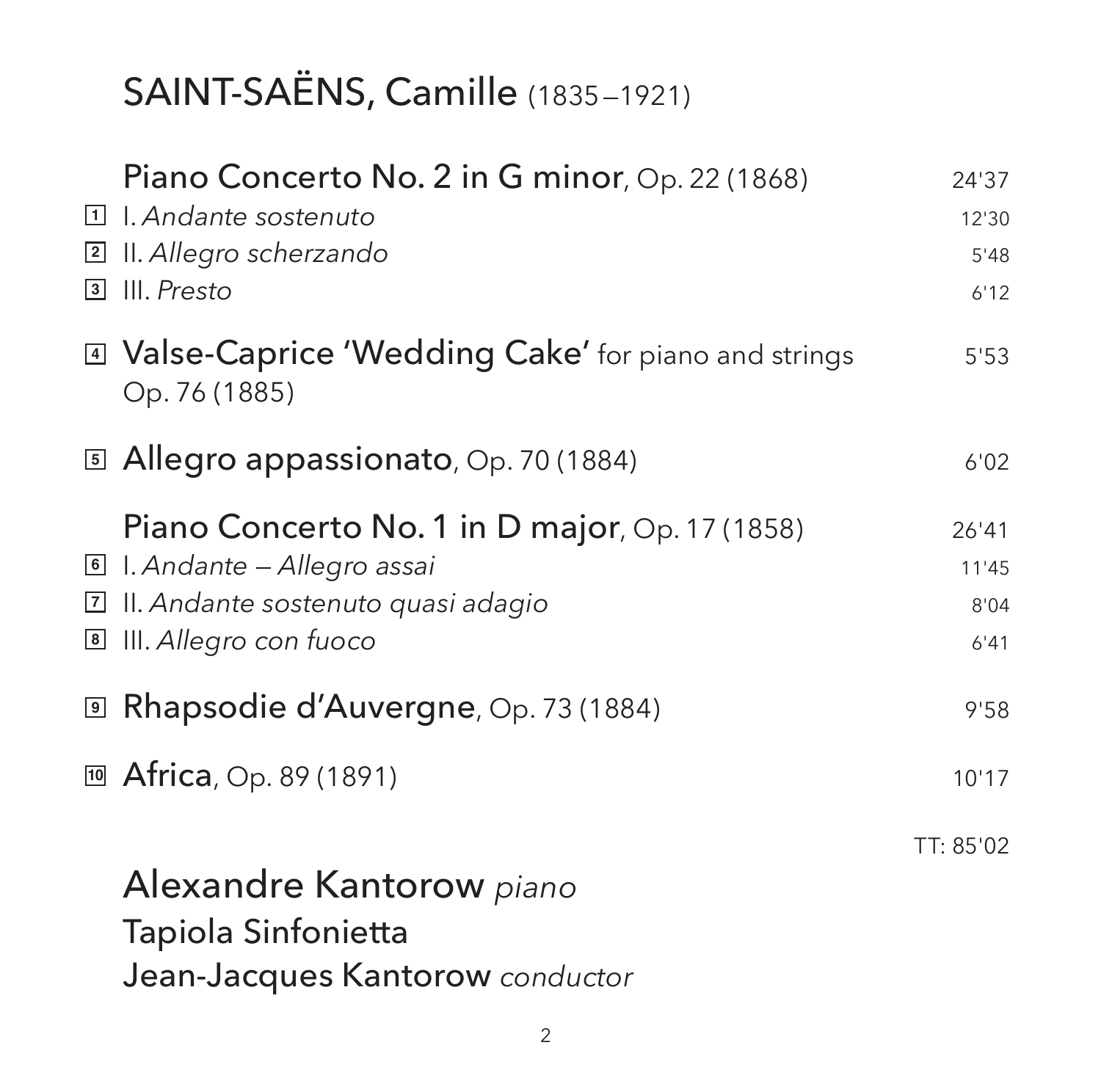# SAINT-SAËNS, Camille (1835—1921)

| Piano Concerto No. 2 in G minor, Op. 22 (1868)                        | 24'37     |
|-----------------------------------------------------------------------|-----------|
| $\Box$ I. Andante sostenuto                                           | 12'30     |
| <b>2</b> II. Allegro scherzando                                       | 5'48      |
| 3 III. Presto                                                         | 6'12      |
| I Valse-Caprice 'Wedding Cake' for piano and strings<br>Op. 76 (1885) | 5'53      |
| <b>□ Allegro appassionato</b> , Op. 70 (1884)                         | 6'02      |
| Piano Concerto No. 1 in D major, Op. 17 (1858)                        | 26'41     |
| 6 I. Andante - Allegro assai                                          | 11'45     |
| □ II. Andante sostenuto quasi adagio                                  | 8'04      |
| <b>■ Ⅲ. Allegro con fuoco</b>                                         | 6'41      |
| <b>■ Rhapsodie d'Auvergne</b> , Op. 73 (1884)                         | 9'58      |
| 回 Africa, Op. 89 (1891)                                               | 10'17     |
|                                                                       | TT: 85'02 |
| Alexandre Kantorow piano                                              |           |
| Tapiola Sinfonietta                                                   |           |
| Jean-Jacques Kantorow conductor                                       |           |
|                                                                       |           |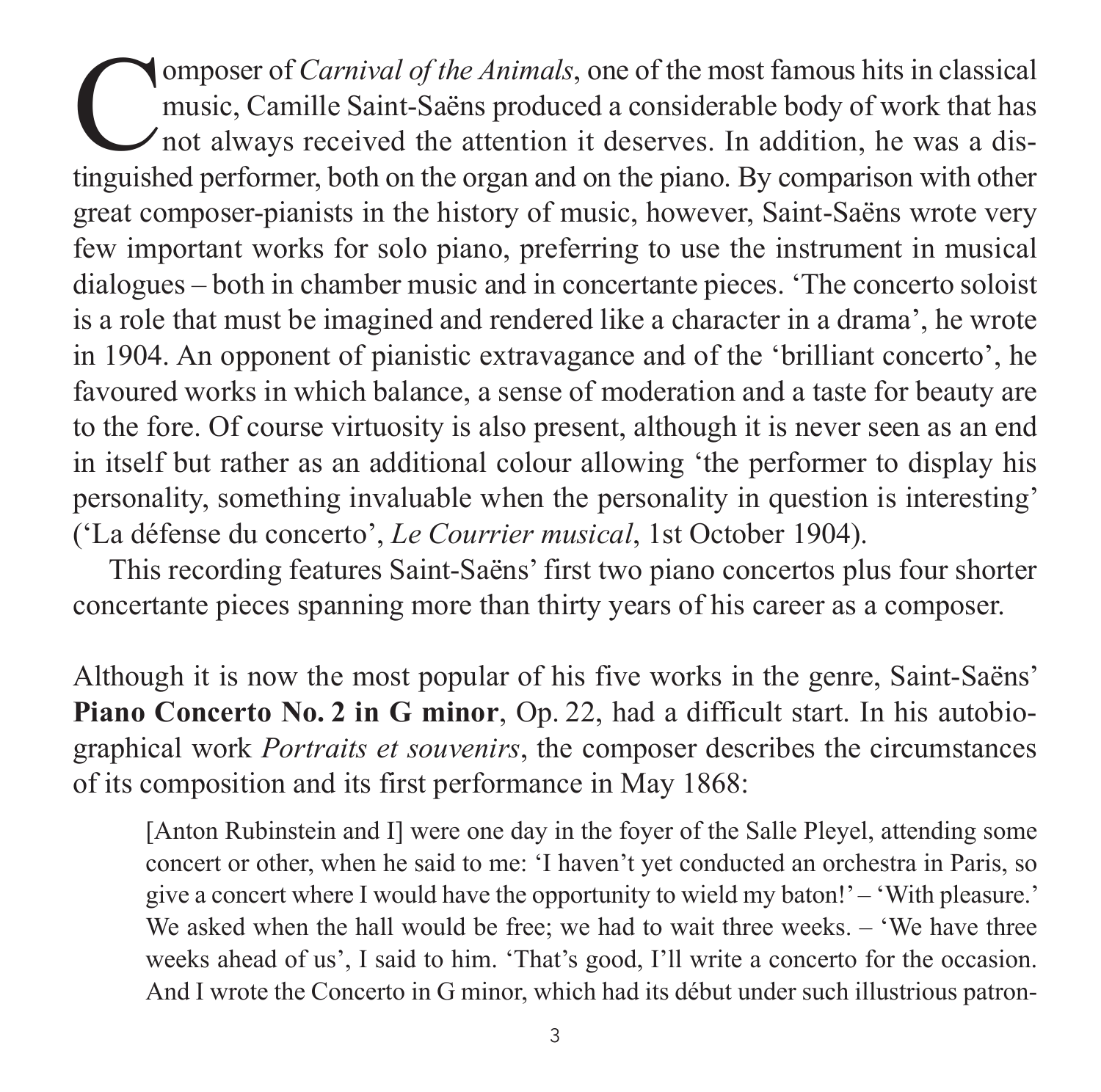Composer of *Carnival of the Animals*, one of the most famous hits in classical<br>music, Camille Saint-Saëns produced a considerable body of work that has<br>not always received the attention it deserves. In addition, he was a music, Camille Saint-Saëns produced a considerable body of work that has In always received the attention it deserves. In addition, he was a distinguished performer, both on the organ and on the piano. By comparison with other great composer-pianists in the history of music, however, Saint-Saëns wrote very few important works for solo piano, preferring to use the instrument in musical dialogues – both in chamber music and in concertante pieces. 'The concerto soloist is a role that must be imagined and rendered like a character in a drama', he wrote in 1904. An opponent of pianistic extravagance and of the 'brilliant concerto', he favoured works in which balance, a sense of moderation and a taste for beauty are to the fore. Of course virtuosity is also present, although it is never seen as an end in itself but rather as an additional colour allowing 'the performer to display his personality, something invaluable when the personality in question is interesting' ('La dé fense du concerto', *Le Courrier musical*, 1st October 1904).

This recording features Saint-Saëns' first two piano concertos plus four shorter concertante pieces spanning more than thirty years of his career as a composer.

Although it is now the most popular of his five works in the genre, Saint-Saëns' **Piano Concerto No. 2 in G minor**, Op. 22, had a difficult start. In his autobiographical work *Portraits et souvenirs*, the composer describes the circumstances of its composition and its first performance in May 1868:

[Anton Rubinstein and I] were one day in the foyer of the Salle Pleyel, attending some concert or other, when he said to me: 'I haven't yet conducted an orchestra in Paris, so give a concert where I would have the opportunity to wield my baton!' – 'With pleasure.' We asked when the hall would be free; we had to wait three weeks. – 'We have three weeks ahead of us', I said to him. 'That's good, I'll write a concerto for the occasion. And I wrote the Concerto in G minor, which had its début under such illustrious patron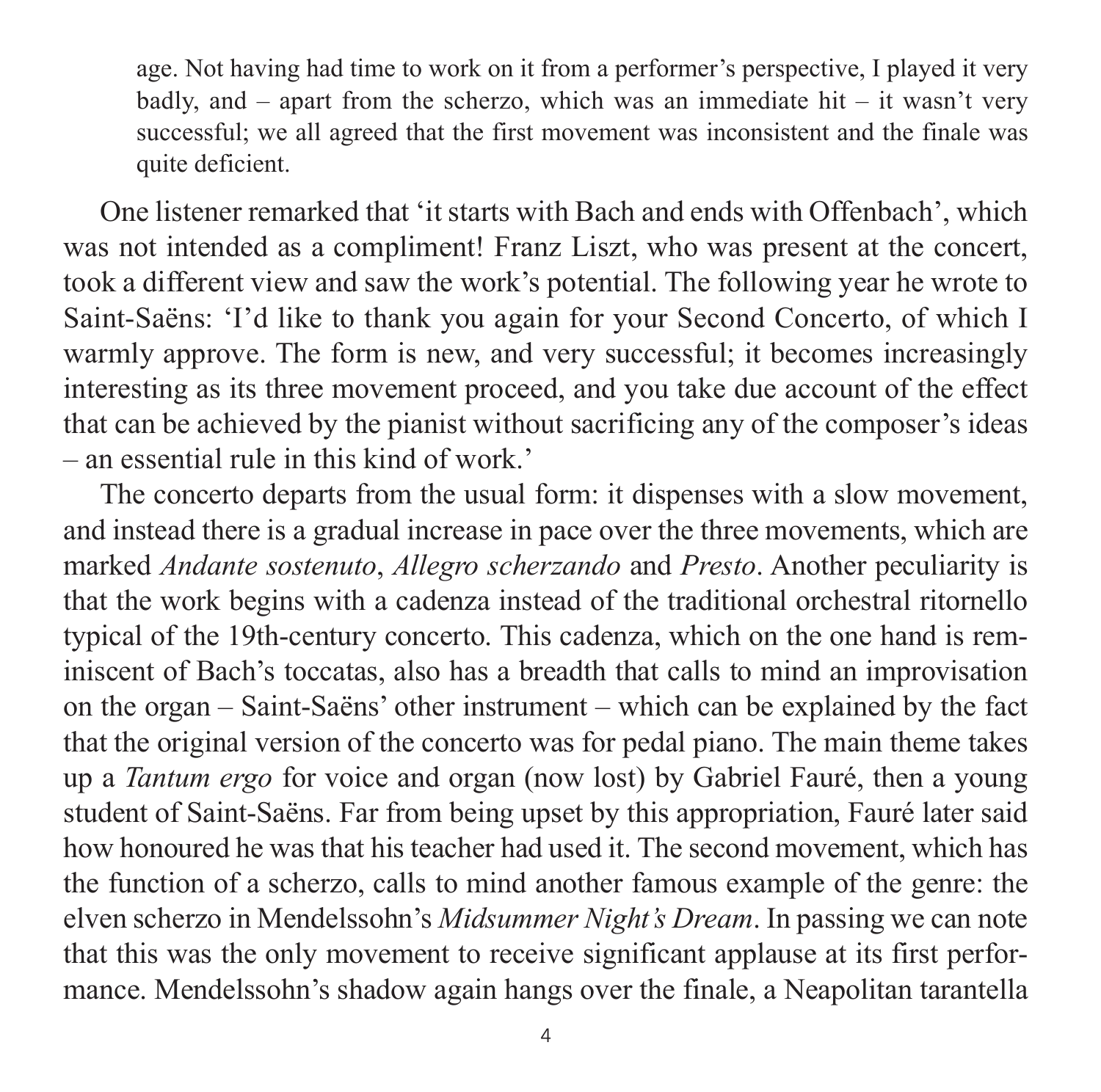age. Not having had time to work on it from a performer's perspective, I played it very badly, and  $-$  apart from the scherzo, which was an immediate hit  $-$  it wasn't very successful; we all agreed that the first movement was inconsistent and the finale was quite deficient.

One listener remarked that 'it starts with Bach and ends with Offenbach', which was not intended as a compliment! Franz Liszt, who was present at the concert, took a different view and saw the work's potential. The following year he wrote to Saint-Saëns: 'I'd like to thank you again for your Second Concerto, of which I warmly approve. The form is new, and very successful; it becomes increasingly interesting as its three movement proceed, and you take due account of the effect that can be achieved by the pianist without sacrificing any of the composer's ideas – an essential rule in this kind of work.'

The concerto departs from the usual form: it dispenses with a slow movement, and instead there is a gradual increase in pace over the three movements, which are marked *Andante sostenuto*, *Allegro scherzando* and *Presto*. Another peculiarity is that the work begins with a cadenza instead of the traditional orchestral ritornello typical of the 19th-century concerto. This cadenza, which on the one hand is reminiscent of Bach's toccatas, also has a breadth that calls to mind an improvisation on the organ – Saint-Saëns' other instrument – which can be explained by the fact that the original version of the concerto was for pedal piano. The main theme takes up a *Tantum ergo* for voice and organ (now lost) by Gabriel Fauré, then a young student of Saint-Saëns. Far from being upset by this appropriation, Fauré later said how honoured he was that his teacher had used it. The second movement, which has the function of a scherzo, calls to mind another famous example of the genre: the elven scherzo in Mendelssohn's *Midsummer Night's Dream*. In passing we can note that this was the only movement to receive significant applause at its first performance. Mendelssohn's shadow again hangs over the finale, a Neapolitan tarantella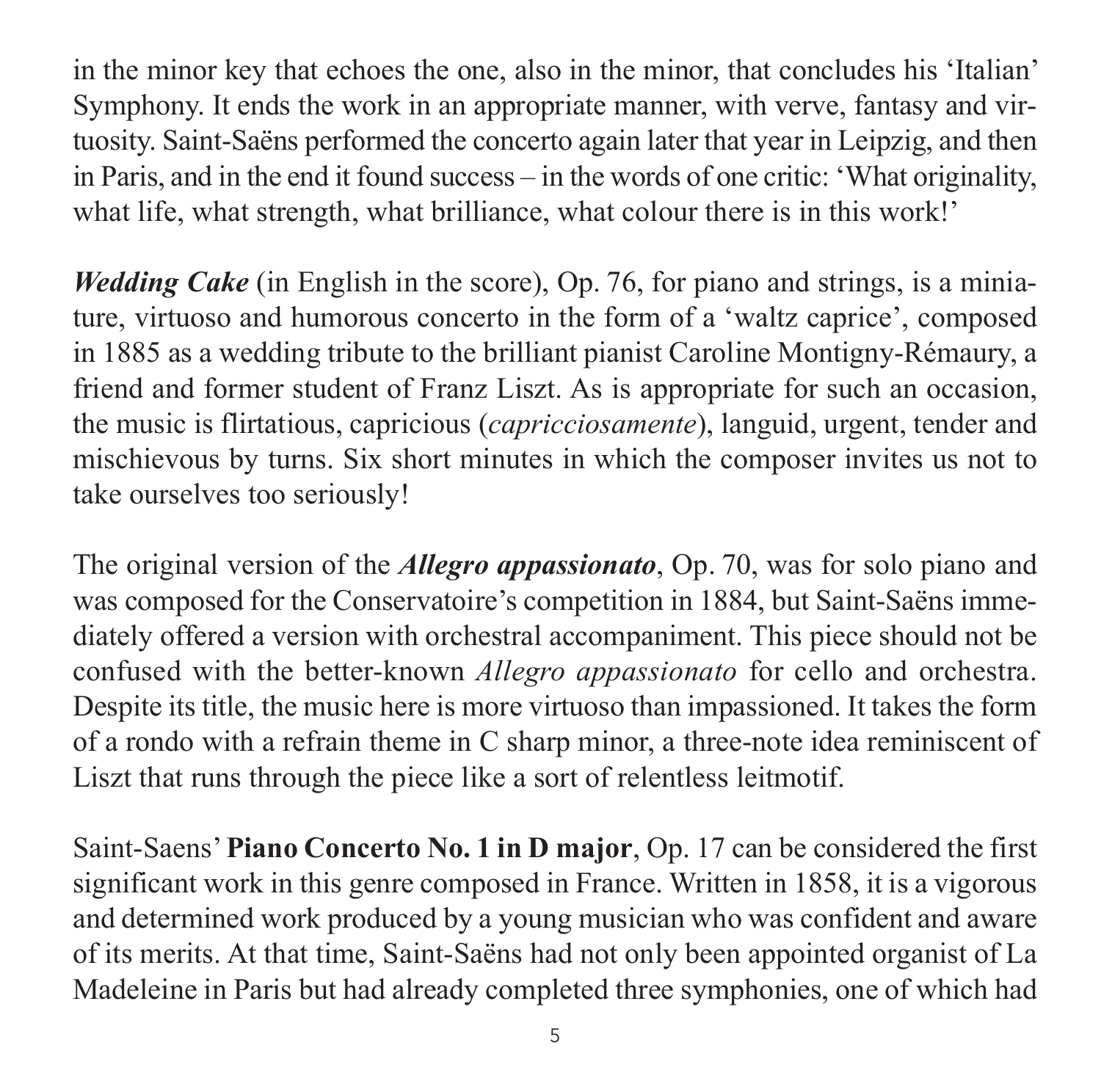in the minor key that echoes the one, also in the minor, that concludes his 'Italian' Symphony. It ends the work in an appropriate manner, with verve, fantasy and virtuosity. Saint-Saëns performed the concerto again later that year in Leipzig, and then in Paris, and in the end it found success – in the words of one critic: 'What originality, what life, what strength, what brilliance, what colour there is in this work!'

*Wedding Cake* (in English in the score), Op. 76, for piano and strings, is a miniature, virtuoso and humorous concerto in the form of a 'waltz caprice', composed in 1885 as a wedding tribute to the brilliant pianist Caroline Montigny-Rémaury, a friend and former student of Franz Liszt. As is appropriate for such an occasion, the music is flirtatious, capricious (*capricciosamente*), languid, urgent, tender and mischievous by turns. Six short minutes in which the composer invites us not to take ourselves too seriously!

The original version of the *Allegro appassionato*, Op. 70, was for solo piano and was composed for the Conservatoire's competition in 1884, but Saint-Saëns immediate ly offered a version with orchestral accompaniment. This piece should not be confused with the better-known *Allegro appassionato* for cello and orchestra. Despite its title, the music here is more virtuoso than impassioned. It takes the form of a rondo with a refrain theme in C sharp minor, a three-note idea reminiscent of Liszt that runs through the piece like a sort of relentless leitmotif.

Saint-Saens' **Piano Concerto No. 1 in D major**, Op. 17 can be considered the first significant work in this genre composed in France. Written in 1858, it is a vigorous and determined work produced by a young musician who was confident and aware of its merits. At that time, Saint-Saëns had not only been appointed organist of La Madeleine in Paris but had already completed three symphonies, one of which had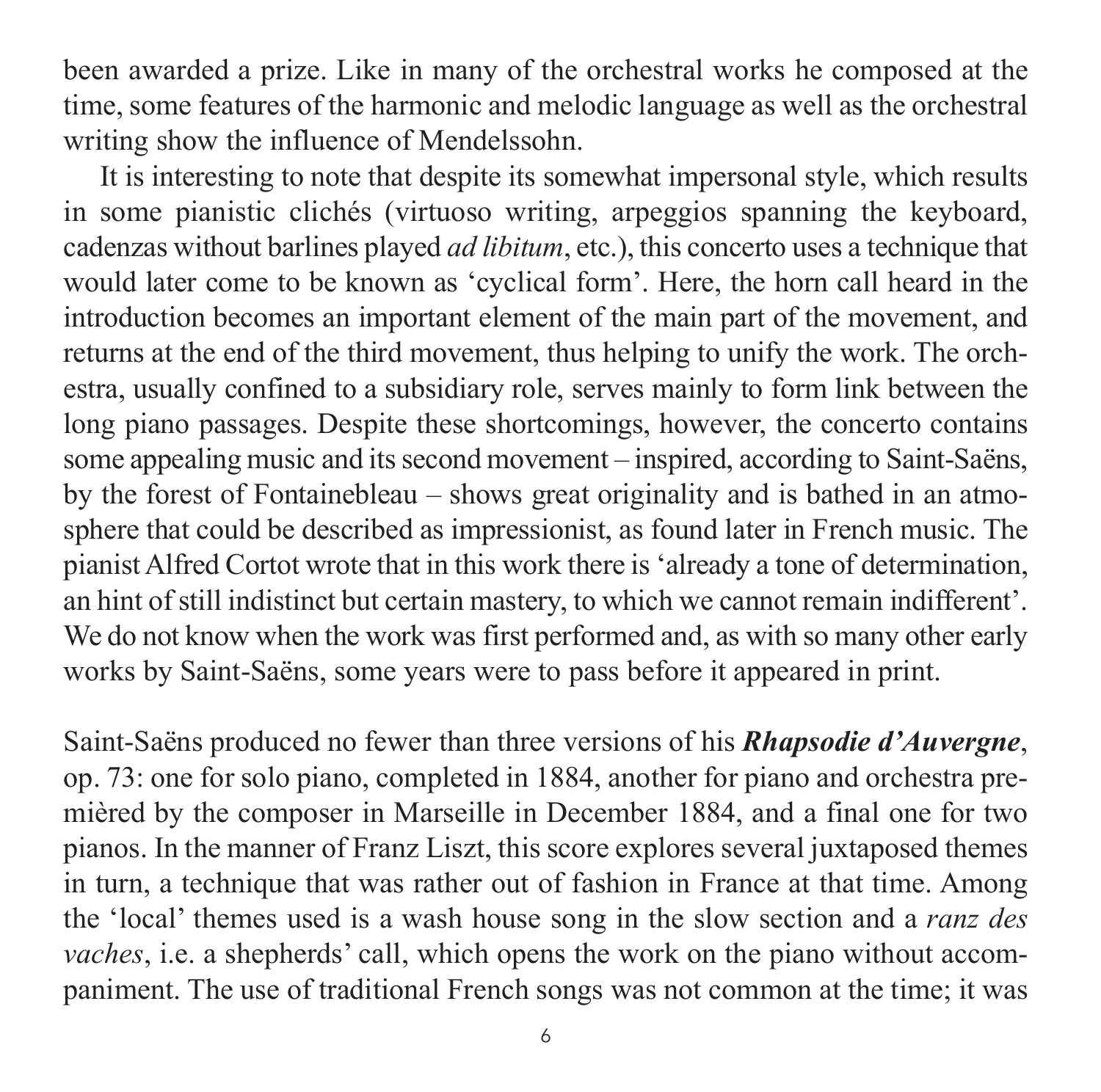been awarded a prize. Like in many of the orchestral works he composed at the time, some features of the harmonic and melodic language as well as the orchestral writing show the influence of Mendelssohn.

It is interesting to note that despite its somewhat impersonal style, which results in some pianistic clichés (virtuoso writing, arpeggios spanning the keyboard, cadenzas without barlines played *ad libitum*, etc.), this concerto uses a technique that would later come to be known as 'cyclical form'. Here, the horn call heard in the introduction becomes an important element of the main part of the movement, and returns at the end of the third movement, thus helping to unify the work. The orchestra, usually confined to a subsidiary role, serves mainly to form link between the long piano passages. Despite these shortcomings, however, the concerto contains some appealing music and its second movement – inspired, according to Saint-Saëns, by the forest of Fontainebleau – shows great originality and is bathed in an atmosphere that could be described as impressionist, as found later in French music. The pianist Alfred Cortot wrote that in this work there is 'already a tone of determination, an hint of still indistinct but certain mastery, to which we cannot remain indifferent'. We do not know when the work was first performed and, as with so many other early works by Saint-Saëns, some years were to pass before it appeared in print.

Saint-Saëns produced no fewer than three versions of his *Rhapsodie d'Auvergne*, op. 73: one for solo piano, completed in 1884, another for piano and orchestra pre mièred by the composer in Marseille in December 1884, and a final one for two pianos. In the manner of Franz Liszt, this score explores several juxtaposed themes in turn, a technique that was rather out of fashion in France at that time. Among the 'local' themes used is a wash house song in the slow section and a *ranz des vaches*, i.e. a shepherds' call, which opens the work on the piano without accompaniment. The use of traditional French songs was not common at the time; it was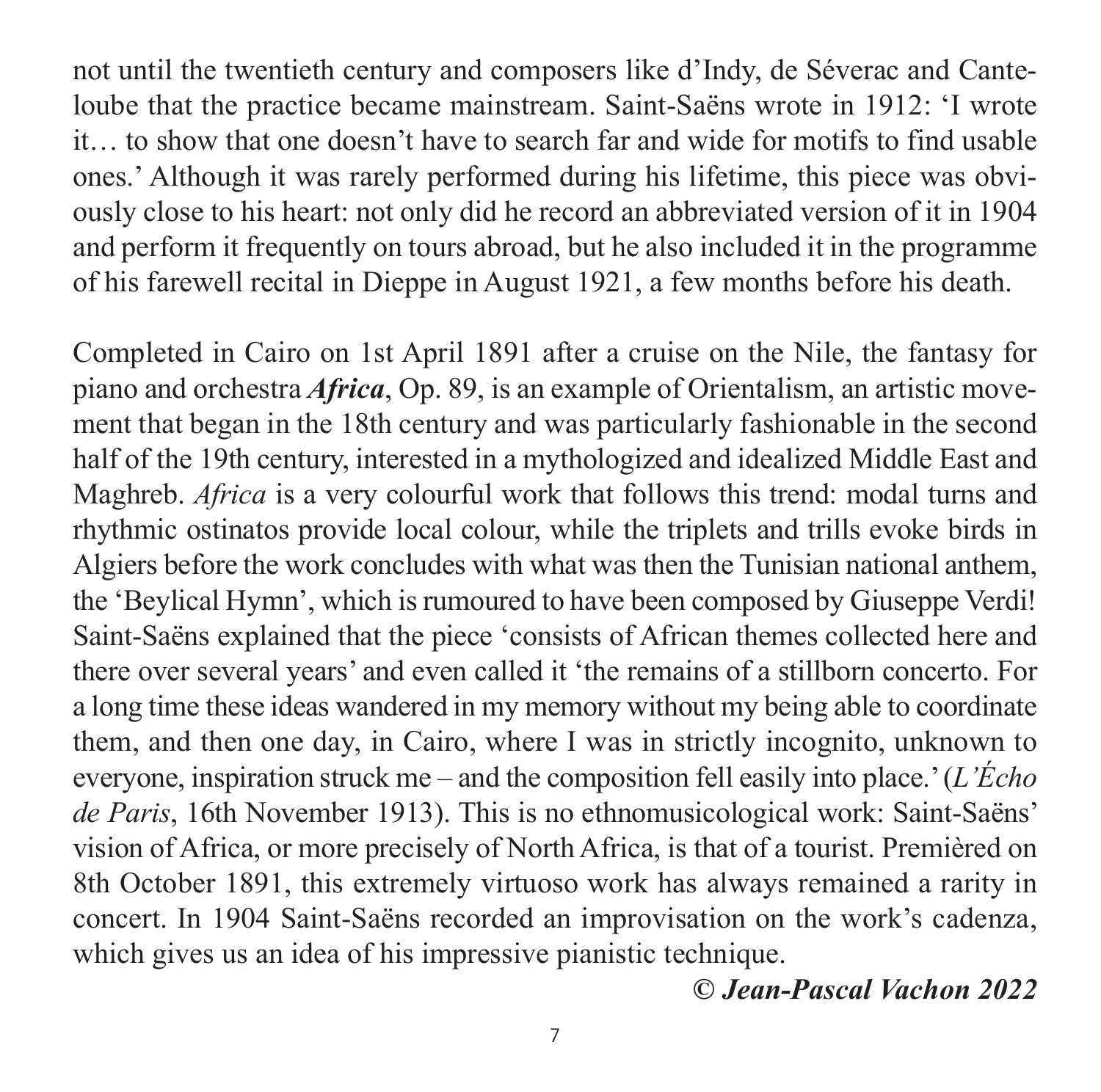not until the twentieth century and composers like d'Indy, de Séverac and Cante loube that the practice became mainstream. Saint-Saëns wrote in 1912: 'I wrote it… to show that one doesn't have to search far and wide for motifs to find usable ones.' Although it was rarely performed during his lifetime, this piece was obvi ously close to his heart: not only did he record an abbreviated version of it in 1904 and perform it frequently on tours abroad, but he also included it in the programme of his farewell recital in Dieppe in August 1921, a few months before his death.

Completed in Cairo on 1st April 1891 after a cruise on the Nile, the fantasy for piano and orchestra *Africa*, Op. 89, is an example of Orientalism, an artistic move ment that began in the 18th century and was particularly fashionable in the second half of the 19th century, interested in a mythologized and idealized Middle East and Maghreb. *Africa* is a very colourful work that follows this trend: modal turns and rhyth mic ostinatos provide local colour, while the triplets and trills evoke birds in Algiers before the work concludes with what was then the Tunisian national anthem, the 'Beylical Hymn', which is rumoured to have been composed by Giuseppe Verdi! Saint-Saëns explained that the piece 'consists of African themes collected here and there over several years' and even called it 'the remains of a stillborn concerto. For a long time these ideas wandered in my memory without my being able to coordinate them, and then one day, in Cairo, where I was in strictly incognito, unknown to everyone, inspiration struck me – and the composition fell easily into place.' (*L'Écho de Paris*, 16th November 1913). This is no ethnomusicological work: Saint-Saëns' vision of Africa, or more precisely of North Africa, is that of a tourist. Premièred on 8th October 1891, this extremely virtuoso work has always remained a rarity in concert. In 1904 Saint-Saëns recorded an improvisation on the work's cadenza, which gives us an idea of his impressive pianistic technique.

### *© Jean-Pascal Vachon 2022*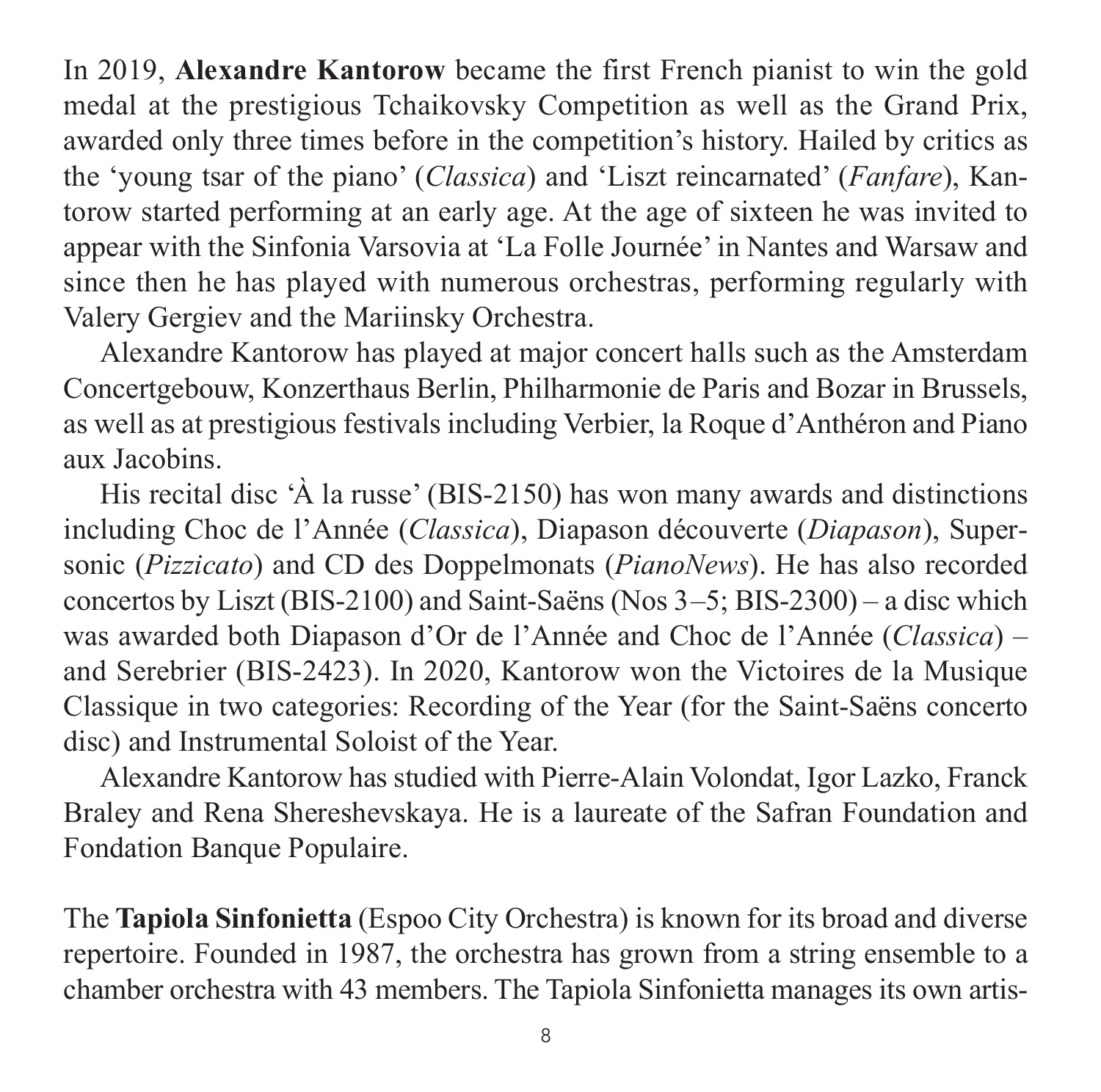In 2019, **Alexandre Kantorow** became the first French pianist to win the gold medal at the prestigious Tchaikovsky Competition as well as the Grand Prix, awarded only three times before in the competition's history. Hailed by critics as the 'young tsar of the piano' (*Classica*) and 'Liszt reincarnated' (*Fanfare*), Kan torow started performing at an early age. At the age of sixteen he was invited to appear with the Sinfonia Varsovia at 'La Folle Journée' in Nantes and Warsaw and since then he has played with numerous orchestras, performing regularly with Valery Gergiev and the Mariinsky Orchestra.

Alexandre Kantorow has played at major concert halls such as the Amsterdam Concertgebouw, Konzerthaus Berlin, Philharmonie de Paris and Bozar in Brussels, as well as at prestigious festivals including Verbier, la Roque d'Anthéron and Piano aux Jacobins.

His recital disc 'À la russe' (BIS-2150) has won many awards and distinctions including Choc de l'Année (*Classica*), Diapason découverte (*Diapason*), Super sonic (*Pizzicato*) and CD des Doppelmonats (*PianoNews*). He has also recorded concertos by Liszt (BIS-2100) and Saint-Saëns (Nos 3–5; BIS-2300) – a disc which was awarded both Diapason d'Or de l'Année and Choc de l'Année (*Classica*) – and Serebrier (BIS-2423). In 2020, Kantorow won the Victoires de la Musique Clas sique in two categories: Recording of the Year (for the Saint-Saëns concerto disc) and Instrumental Soloist of the Year.

Alexandre Kantorow has studied with Pierre-Alain Volondat, Igor Lazko, Franck Braley and Rena Shereshevskaya. He is a laureate of the Safran Foundation and Fondation Banque Populaire.

The **Tapiola Sinfonietta** (Espoo City Orchestra) is known for its broad and diverse repertoire. Founded in 1987, the orchestra has grown from a string ensemble to a chamber orchestra with 43 members. The Tapiola Sinfonietta manages its own artis -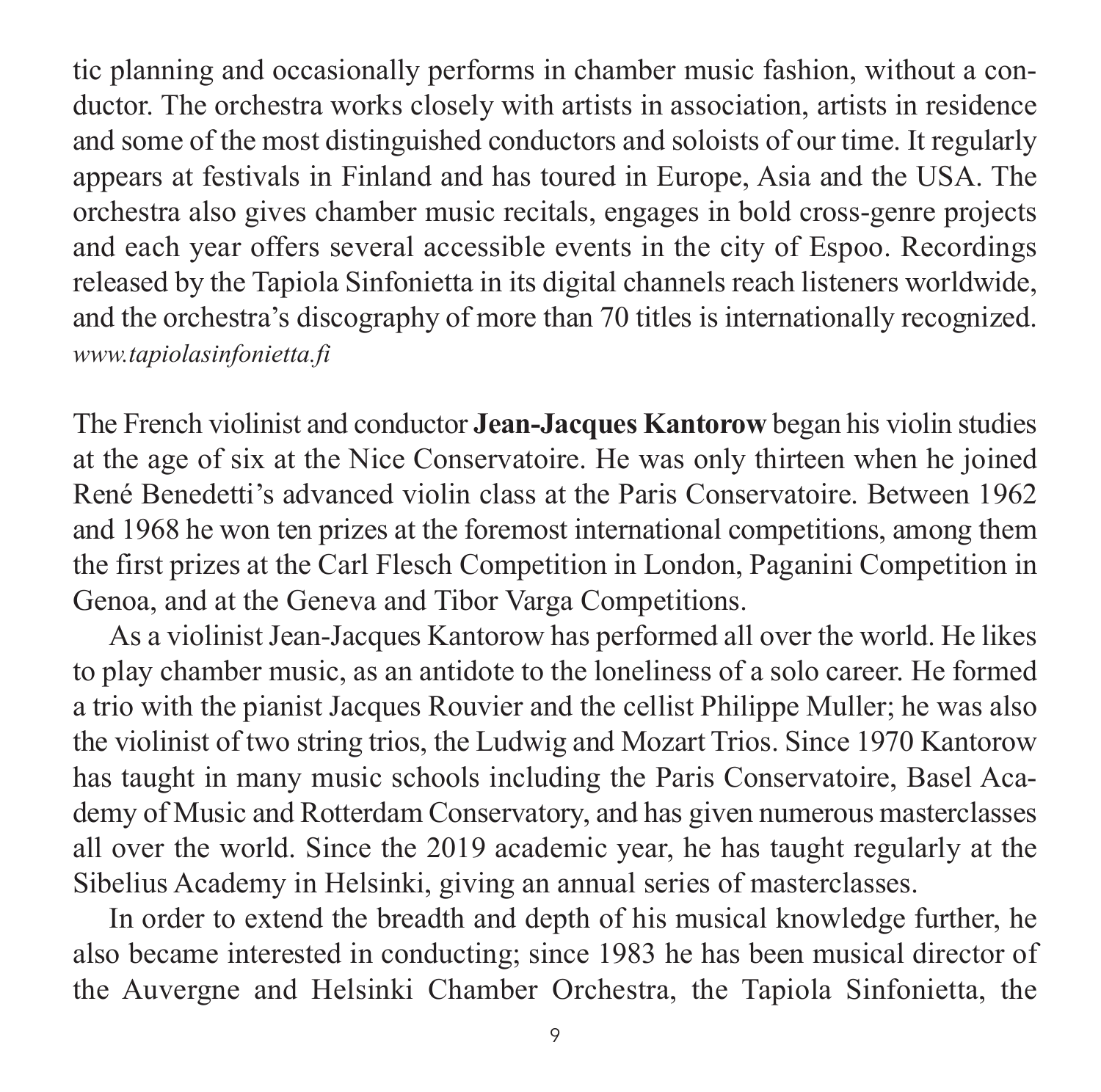tic planning and occasionally performs in chamber music fashion, without a con ductor. The orchestra works closely with artists in association, artists in residence and some of the most distinguished conductors and soloists of our time. It regularly appears at festivals in Finland and has toured in Europe, Asia and the USA. The orchestra also gives chamber music recitals, engages in bold cross-genre projects and each year offers several accessible events in the city of Espoo. Recordings released by the Tapiola Sinfonietta in its digital channels reach listeners worldwide, and the orchestra's discography of more than 70 titles is internationally recognized. *[www.tapiolasinfonietta.fi](http://www.tapiolasinfonietta.fi)*

The French violinist and conductor **Jean-Jacques Kantorow** began his violin studies at the age of six at the Nice Conservatoire. He was only thirteen when he joined René Benedetti's advanced violin class at the Paris Conservatoire. Between 1962 and 1968 he won ten prizes at the foremost international competitions, among them the first prizes at the Carl Flesch Competition in London, Paganini Competition in Genoa, and at the Geneva and Tibor Varga Competitions.

As a violinist Jean-Jacques Kantorow has performed all over the world. He likes to play chamber music, as an antidote to the loneliness of a solo career. He formed a trio with the pianist Jacques Rouvier and the cellist Philippe Muller; he was also the violinist of two string trios, the Ludwig and Mozart Trios. Since 1970 Kantorow has taught in many music schools including the Paris Conservatoire, Basel Academy of Music and Rotterdam Conservatory, and has given numerous masterclasses all over the world. Since the 2019 academic year, he has taught regularly at the Sibelius Academy in Helsinki, giving an annual series of masterclasses.

In order to extend the breadth and depth of his musical knowledge further, he also became interested in conducting; since 1983 he has been musical director of the Auvergne and Helsinki Chamber Orchestra, the Tapiola Sinfonietta, the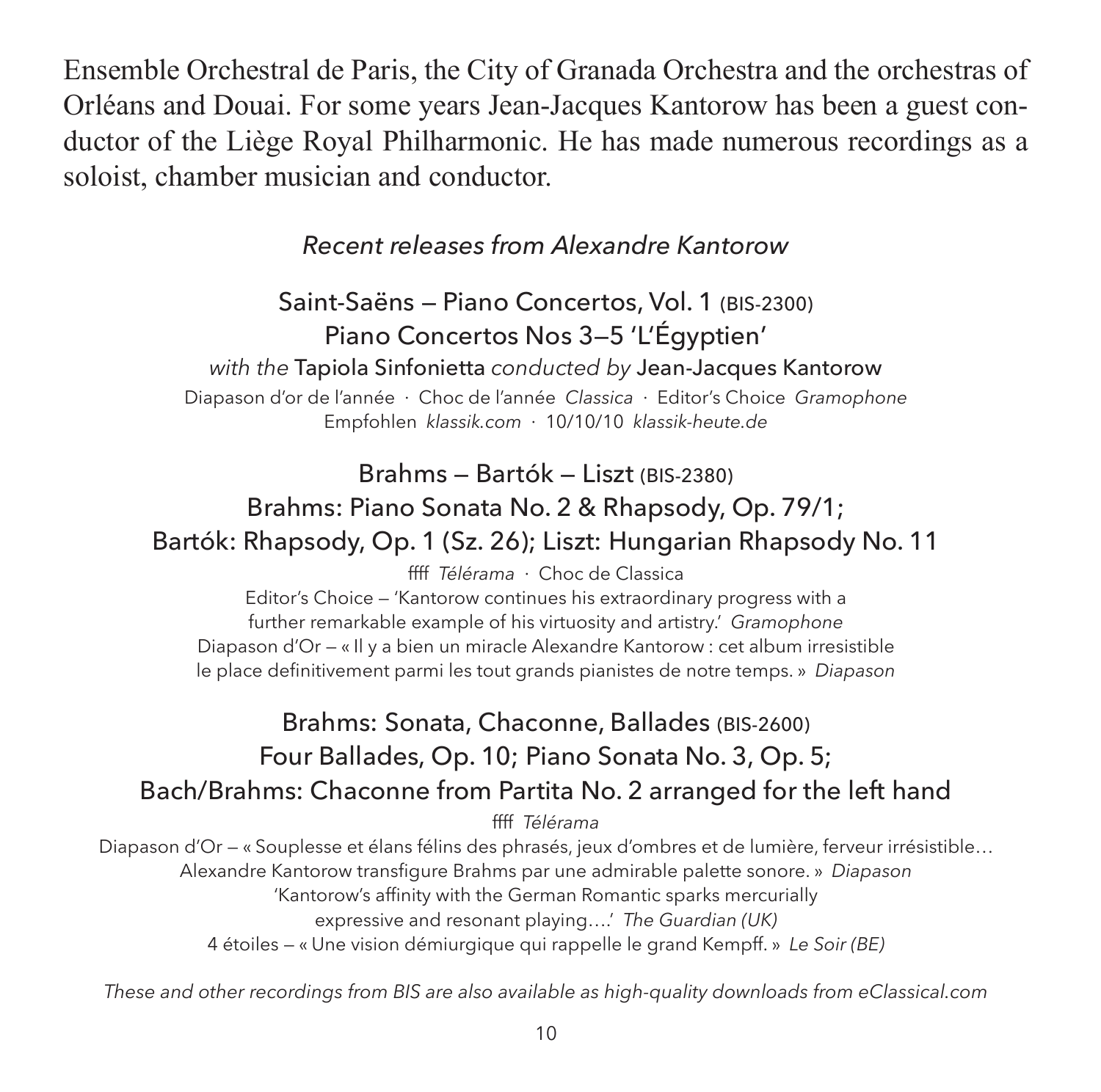Ensemble Orchestral de Paris, the City of Granada Orchestra and the orchestras of Orléans and Douai. For some years Jean-Jacques Kantorow has been a guest con ductor of the Liège Royal Philharmonic. He has made numerous recordings as a soloist, chamber musician and conductor.

#### *Recent releases from Alexandre Kantorow*

## Saint-Saëns — Piano Concertos, Vol. 1 (BIS-2300) Piano Concertos Nos 3—5 'L'Égyptien'

*with the* Tapiola Sinfonietta *conducted by* Jean-Jacques Kantorow Diapason d'or de l'année · Choc de l'année *Classica* · Editor's Choice *Gramophone* Empfohlen *klassik.com* · 10/10/10 *klassik-heute.de*

# Brahms — Bartók — Liszt (BIS-2380) Brahms: Piano Sonata No. 2 & Rhapsody, Op. 79/1; Bartók: Rhapsody, Op. 1 (Sz. 26); Liszt: Hungarian Rhapsody No. 11

ffff *Télérama* · Choc de Classica Editor's Choice — 'Kantorow continues his extraordinary progress with a further remarkable example of his virtuosity and artistry.' *Gramophone* Diapason d'Or — « Il y a bien un miracle Alexandre Kantorow : cet album irresistible le place definitivement parmi les tout grands pianistes de notre temps. » *Diapason*

## Brahms: Sonata, Chaconne, Ballades (BIS-2600) Four Ballades, Op. 10; Piano Sonata No. 3, Op. 5; Bach/Brahms: Chaconne from Partita No. 2 arranged for the left hand

ffff *Télérama*

Diapason d'Or — « Souplesse et élans félins des phrasés, jeux d'ombres et de lumière, ferveur irrésistible… Alexandre Kantorow transfigure Brahms par une admirable palette sonore. » *Diapason* 'Kantorow's affinity with the German Romantic sparks mercurially expressive and resonant playing….' *The Guardian (UK)* 4 étoiles — « Une vision démiurgique qui rappelle le grand Kempff. » *Le Soir (BE)*

*These and other recordings from BIS are also available as high-quality downloads from eClassical.com*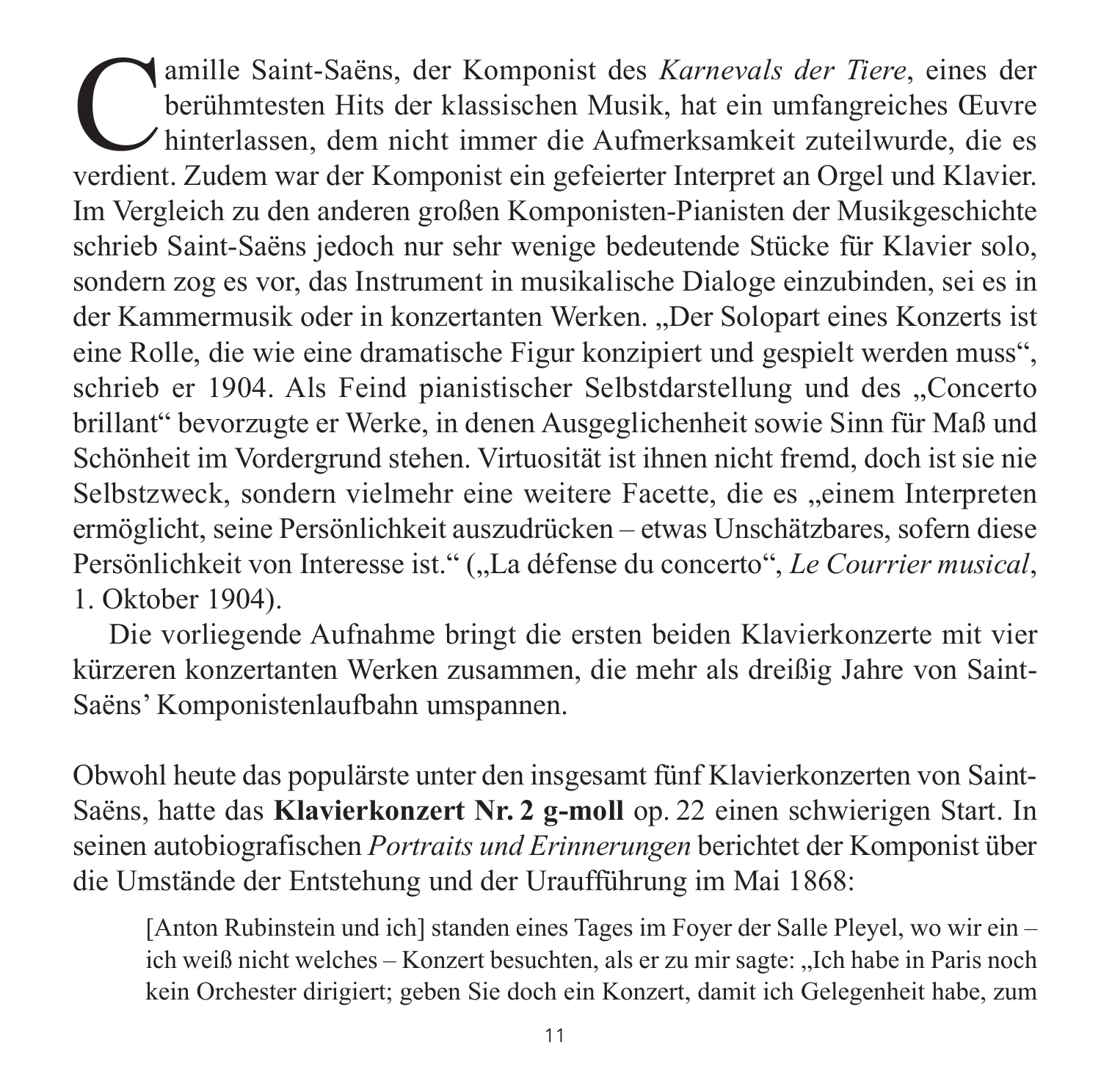**CAMI** amille Saint-Saëns, der Komponist des *Karnevals der Tiere*, eines der berühmtesten Hits der klassischen Musik, hat ein umfangreiches Œuvre<br>
hinterlassen, dem nicht immer die Aufmerksamkeit zuteilwurde, die es<br>
verd berühmtesten Hits der klassischen Musik, hat ein umfangreiches Œuvre hinterlassen, dem nicht immer die Aufmerksamkeit zuteilwurde, die es verdient. Zudem war der Komponist ein gefeierter Interpret an Orgel und Klavier. Im Vergleich zu den anderen großen Komponisten-Pianisten der Musikgeschichte schrieb Saint-Saëns jedoch nur sehr wenige bedeutende Stücke für Klavier solo, sondern zog es vor, das Instrument in musikalische Dialoge einzubinden, sei es in der Kammermusik oder in konzertanten Werken. "Der Solopart eines Konzerts ist eine Rolle, die wie eine dramatische Figur konzipiert und gespielt werden muss", schrieb er 1904. Als Feind pianistischer Selbstdarstellung und des "Concerto brillant" bevorzugte er Werke, in denen Ausgeglichenheit sowie Sinn für Maß und Schönheit im Vordergrund stehen. Virtuosität ist ihnen nicht fremd, doch ist sie nie Selbstzweck, sondern vielmehr eine weitere Facette, die es "einem Interpreten ermög licht, seine Persönlichkeit auszudrücken – etwas Unschätzbares, sofern diese Persönlichkeit von Interesse ist." ("La défense du concerto", *Le Courrier musical*, 1. Oktober 1904).

Die vorliegende Aufnahme bringt die ersten beiden Klavierkonzerte mit vier kürzeren konzertanten Werken zusammen, die mehr als dreißig Jahre von Saint-Saëns' Komponistenlaufbahn umspannen.

Obwohl heute das populärste unter den insgesamt fünf Klavierkonzerten von Saint-Saëns, hatte das **Klavierkonzert Nr. 2 g-moll** op. 22 einen schwierigen Start. In seinen autobiografischen *Portraits und Erinnerungen* berichtet der Komponist über die Umstände der Entstehung und der Uraufführung im Mai 1868:

[Anton Rubinstein und ich] standen eines Tages im Foyer der Salle Pleyel, wo wir ein – ich weiß nicht welches – Konzert besuchten, als er zu mir sagte: "Ich habe in Paris noch kein Orchester dirigiert; geben Sie doch ein Konzert, damit ich Gelegenheit habe, zum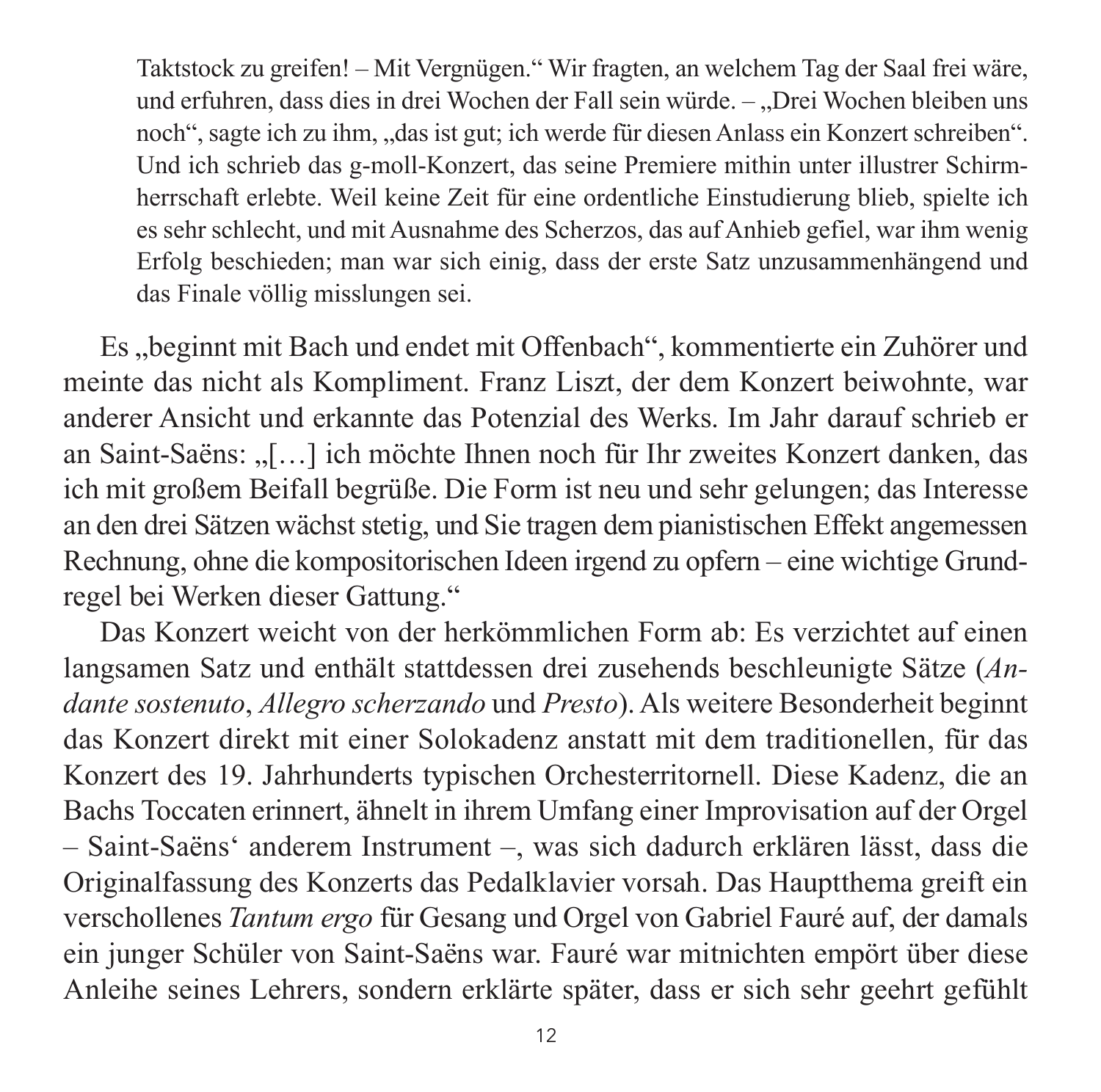Taktstock zu greifen! – Mit Vergnügen." Wir fragten, an welchem Tag der Saal frei wäre, und erfuhren, dass dies in drei Wochen der Fall sein würde. – "Drei Wochen bleiben uns noch", sagte ich zu ihm, "das ist gut; ich werde für diesen Anlass ein Konzert schreiben". Und ich schrieb das g-moll-Konzert, das seine Premiere mithin unter illustrer Schirmherr schaft erlebte. Weil keine Zeit für eine ordentliche Einstudierung blieb, spielte ich es sehr schlecht, und mit Ausnahme des Scherzos, das auf Anhieb gefiel, war ihm wenig Erfolg beschieden; man war sich einig, dass der erste Satz unzusammenhängend und das Finale völlig misslungen sei.

Es "beginnt mit Bach und endet mit Offenbach", kommentierte ein Zuhörer und meinte das nicht als Kompliment. Franz Liszt, der dem Konzert beiwohnte, war anderer Ansicht und erkannte das Potenzial des Werks. Im Jahr darauf schrieb er an Saint-Saëns: "[…] ich möchte Ihnen noch für Ihr zweites Konzert danken, das ich mit großem Beifall begrüße. Die Form ist neu und sehr gelungen; das Interesse an den drei Sätzen wächst stetig, und Sie tragen dem pianistischen Effekt angemessen Rechnung, ohne die kompositorischen Ideen irgend zu opfern – eine wichtige Grund regel bei Werken dieser Gattung."

Das Konzert weicht von der herkömmlichen Form ab: Es verzichtet auf einen lang samen Satz und enthält stattdessen drei zusehends beschleunigte Sätze (*An dante sostenuto*, *Allegro scherzando* und *Presto*). Als weitere Besonderheit beginnt das Konzert direkt mit einer Solokadenz anstatt mit dem traditionellen, für das Konzert des 19. Jahrhunderts typischen Orchesterritornell. Diese Kadenz, die an Bachs Toccaten erinnert, ähnelt in ihrem Umfang einer Improvisation auf der Orgel – Saint-Saëns' anderem Instrument –, was sich dadurch erklären lässt, dass die Originalfassung des Konzerts das Pedalklavier vorsah. Das Hauptthema greift ein verschollenes *Tantum ergo* für Gesang und Orgel von Gabriel Fauré auf, der damals ein junger Schüler von Saint-Saëns war. Fauré war mitnichten empört über diese An leihe seines Lehrers, sondern erklärte später, dass er sich sehr geehrt gefühlt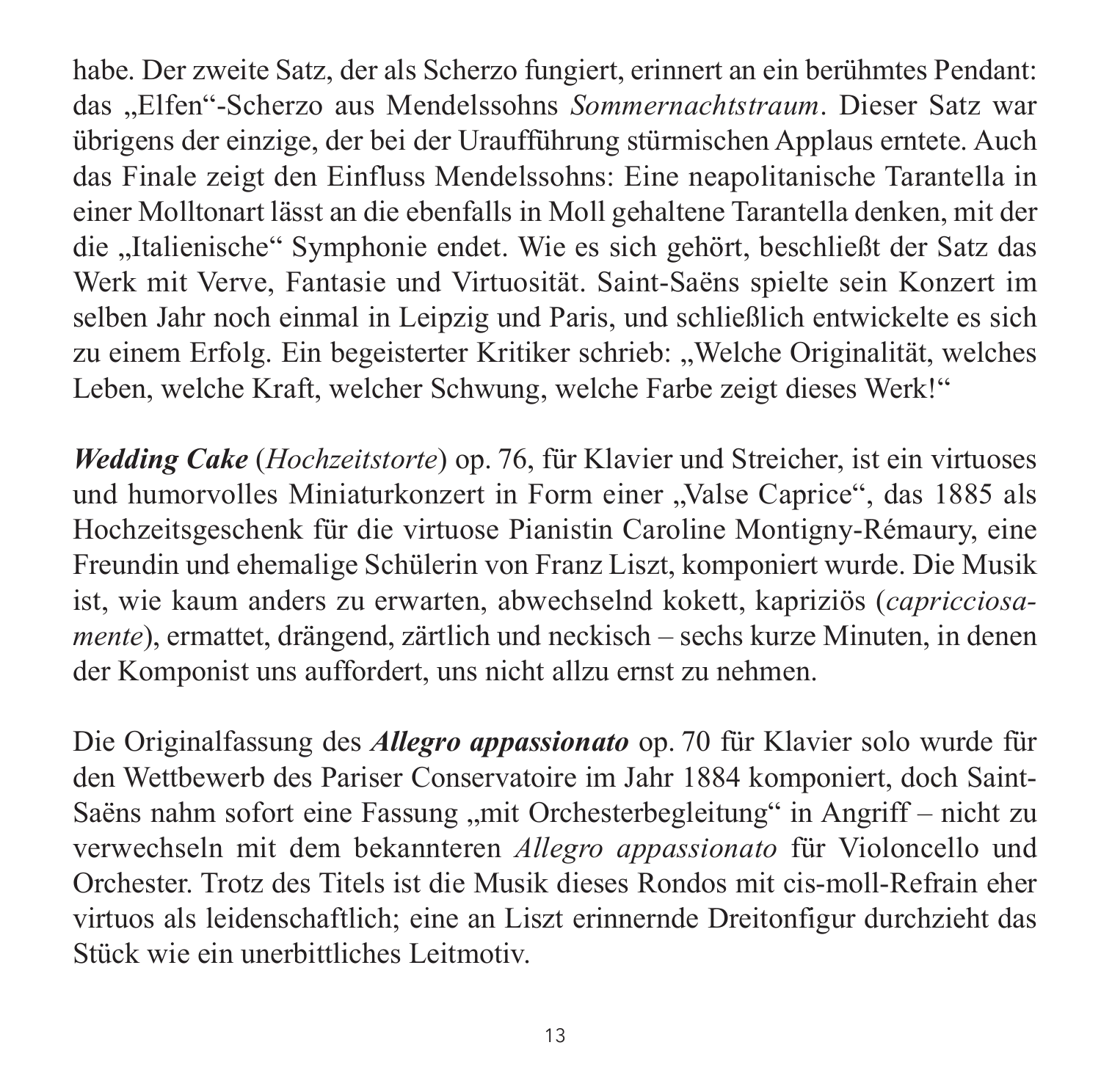habe. Der zweite Satz, der als Scherzo fungiert, erinnert an ein berühmtes Pendant: das "Elfen"-Scherzo aus Mendelssohns *Sommernachtstraum*. Dieser Satz war übrigens der einzige, der bei der Uraufführung stürmischen Applaus erntete. Auch das Finale zeigt den Einfluss Mendelssohns: Eine neapolitanische Tarantella in einer Molltonart lässt an die ebenfalls in Moll gehaltene Tarantella denken, mit der die "Italienische" Symphonie endet. Wie es sich gehört, beschließt der Satz das Werk mit Verve, Fantasie und Virtuosität. Saint-Saëns spielte sein Konzert im selben Jahr noch einmal in Leipzig und Paris, und schließlich entwickelte es sich zu einem Erfolg. Ein begeisterter Kritiker schrieb: "Welche Originalität, welches Leben, welche Kraft, welcher Schwung, welche Farbe zeigt dieses Werk!"

*Wedding Cake* (*Hochzeitstorte*) op. 76, für Klavier und Streicher, ist ein virtuoses und humorvolles Miniaturkonzert in Form einer "Valse Caprice", das 1885 als Hoch zeitsgeschenk für die virtuose Pianistin Caroline Montigny-Rémaury, eine Freundin und ehemalige Schülerin von Franz Liszt, komponiert wurde. Die Musik ist, wie kaum anders zu erwarten, abwechselnd kokett, kapriziös (*capricciosa mente*), ermattet, drängend, zärtlich und neckisch – sechs kurze Minuten, in denen der Komponist uns auffordert, uns nicht allzu ernst zu nehmen.

Die Originalfassung des *Allegro appassionato* op. 70 für Klavier solo wurde für den Wettbewerb des Pariser Conservatoire im Jahr 1884 komponiert, doch Saint-Saëns nahm sofort eine Fassung "mit Orchesterbegleitung" in Angriff – nicht zu ver wechseln mit dem bekannteren *Allegro appassionato* für Violoncello und Orches ter. Trotz des Titels ist die Musik dieses Rondos mit cis-moll-Refrain eher virtuos als leidenschaftlich; eine an Liszt erinnernde Dreitonfigur durchzieht das Stück wie ein unerbittliches Leitmotiv.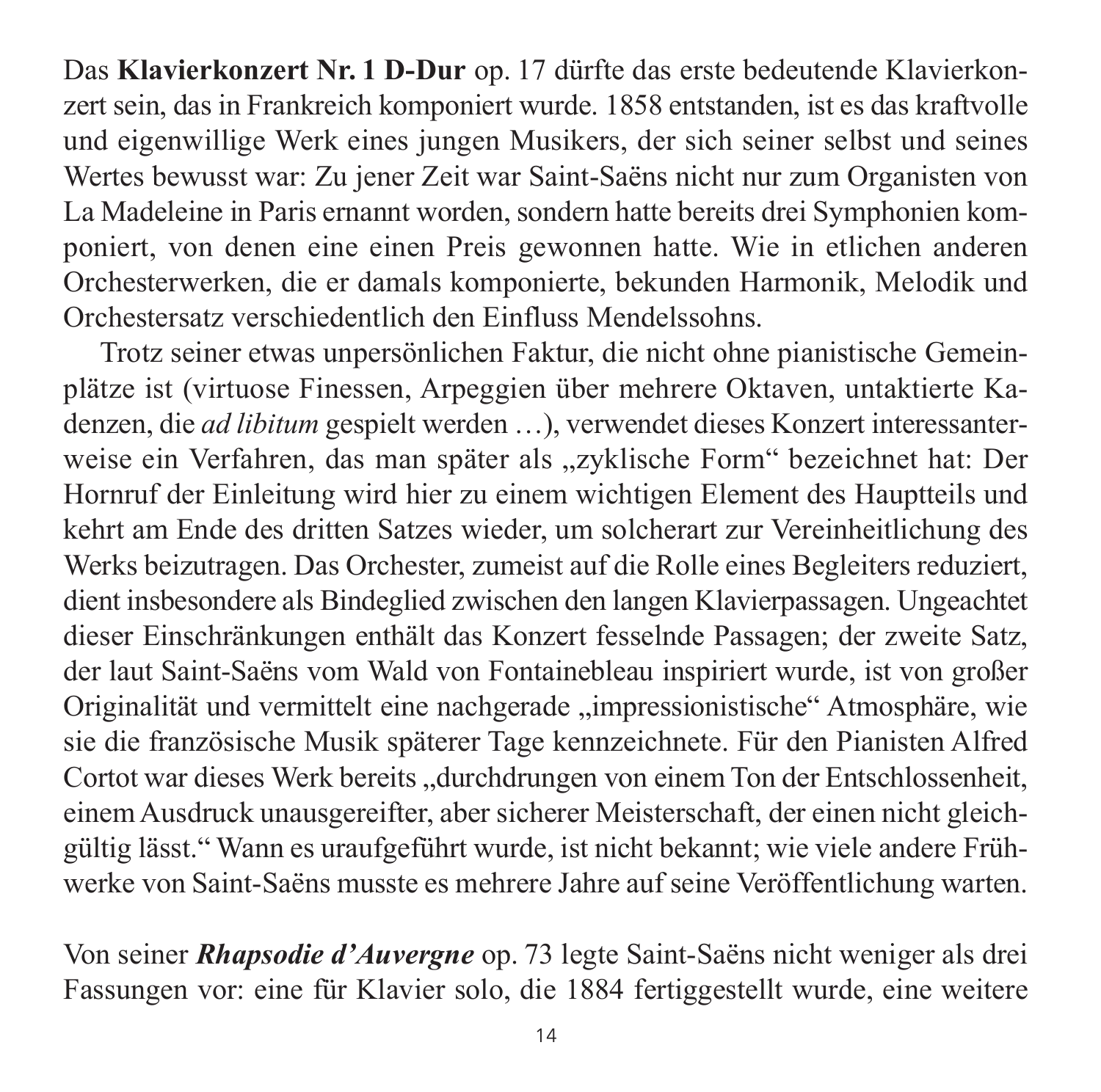Das Klavierkonzert Nr. 1 D-Dur op. 17 dürfte das erste bedeutende Klavierkonzert sein, das in Frankreich komponiert wurde. 1858 entstanden, ist es das kraftvolle und eigenwillige Werk eines jungen Musikers, der sich seiner selbst und seines Wertes bewusst war: Zu jener Zeit war Saint-Saëns nicht nur zum Organisten von La Madeleine in Paris ernannt worden, sondern hatte bereits drei Symphonien komponiert, von denen eine einen Preis gewonnen hatte. Wie in etlichen anderen Orchesterwerken, die er damals komponierte, bekunden Harmonik, Melodik und Orchestersatz verschiedentlich den Einfluss Mendelssohns.

Trotz seiner etwas unpersönlichen Faktur, die nicht ohne pianistische Gemein plätze ist (virtuose Finessen, Arpeggien über mehrere Oktaven, untaktierte Ka denzen, die *ad libitum* gespielt werden ...), verwendet dieses Konzert interessanterweise ein Verfahren, das man später als "zyklische Form" bezeichnet hat: Der Hornruf der Einleitung wird hier zu einem wichtigen Element des Hauptteils und kehrt am Ende des dritten Satzes wieder, um solcherart zur Vereinheitlichung des Werks beizutragen. Das Orchester, zumeist auf die Rolle eines Begleiters reduziert, dient insbesondere als Bindeglied zwischen den langen Klavierpassagen. Ungeachtet dieser Einschränkungen enthält das Konzert fesselnde Passagen; der zweite Satz, der laut Saint-Saëns vom Wald von Fontainebleau inspiriert wurde, ist von großer Originalität und vermittelt eine nachgerade "impressionistische" Atmosphäre, wie sie die französische Musik späterer Tage kennzeichnete. Für den Pianisten Alfred Cortot war dieses Werk bereits "durchdrungen von einem Ton der Entschlossenheit, einem Ausdruck unausgereifter, aber sicherer Meisterschaft, der einen nicht gleich gültig lässt." Wann es uraufgeführt wurde, ist nicht bekannt; wie viele andere Früh werke von Saint-Saëns musste es mehrere Jahre auf seine Veröffentlichung warten.

Von seiner *Rhapsodie d'Auvergne* op. 73 legte Saint-Saëns nicht weniger als drei Fassungen vor: eine für Klavier solo, die 1884 fertiggestellt wurde, eine weitere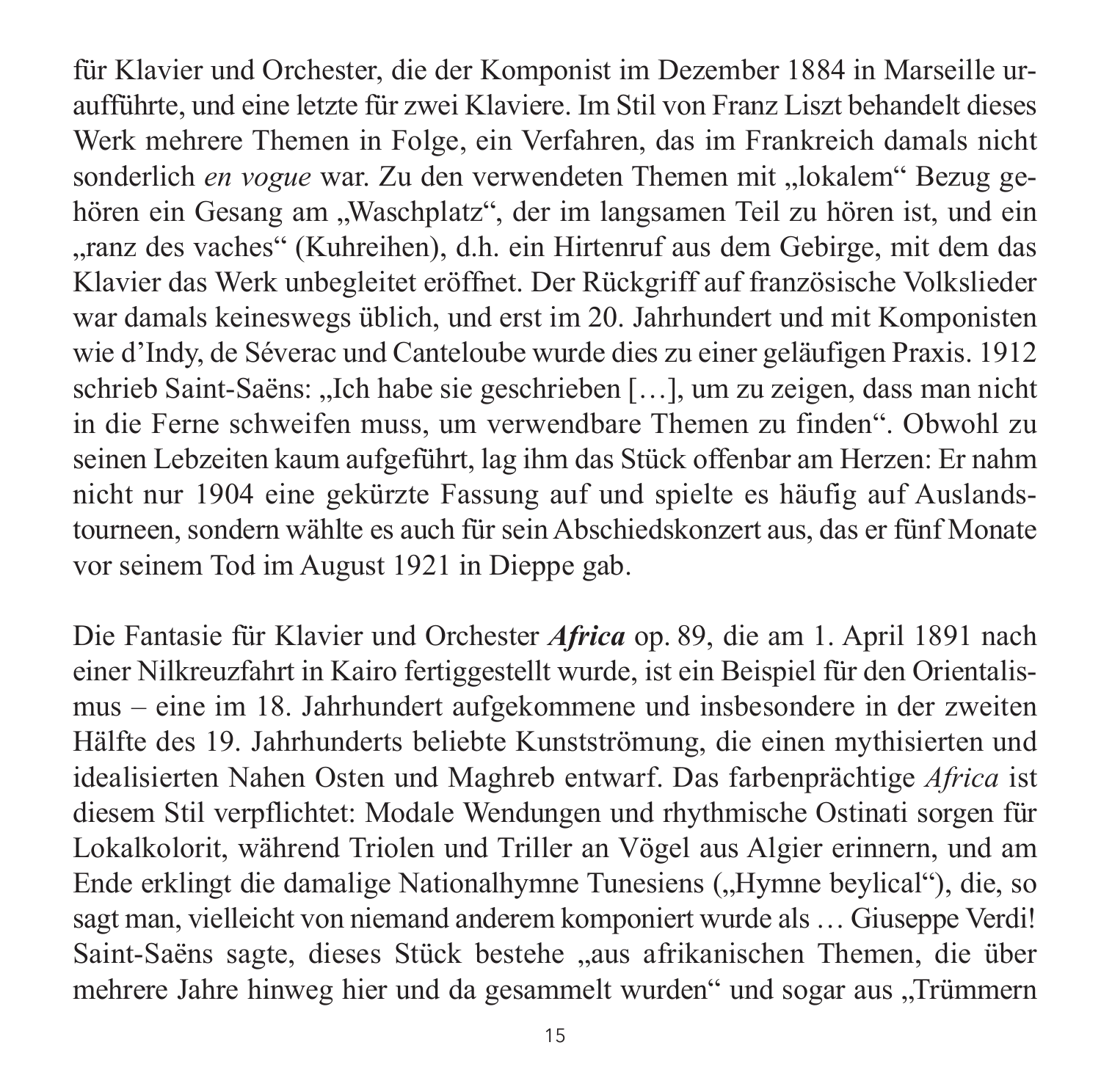für Klavier und Orchester, die der Komponist im Dezember 1884 in Marseille ur auf führte, und eine letzte für zwei Klaviere. Im Stil von Franz Liszt behandelt dieses Werk mehrere Themen in Folge, ein Verfahren, das im Frankreich damals nicht sonderlich *en vogue* war. Zu den verwendeten Themen mit "lokalem" Bezug gehören ein Gesang am "Waschplatz", der im langsamen Teil zu hören ist, und ein "ranz des vaches" (Kuhreihen), d.h. ein Hirtenruf aus dem Gebirge, mit dem das Klavier das Werk unbegleitet eröffnet. Der Rückgriff auf französische Volkslieder war damals keineswegs üblich, und erst im 20. Jahrhundert und mit Komponisten wie d'Indy, de Séverac und Canteloube wurde dies zu einer geläufigen Praxis. 1912 schrieb Saint-Saëns: "Ich habe sie geschrieben [...], um zu zeigen, dass man nicht in die Ferne schweifen muss, um verwendbare Themen zu finden". Obwohl zu seinen Lebzeiten kaum aufgeführt, lag ihm das Stück offenbar am Herzen: Er nahm nicht nur 1904 eine gekürzte Fassung auf und spielte es häufig auf Auslands tourneen, sondern wählte es auch für sein Abschiedskonzert aus, das er fünf Monate vor seinem Tod im August 1921 in Dieppe gab.

Die Fantasie für Klavier und Orchester *Africa* op. 89, die am 1. April 1891 nach einer Nilkreuzfahrt in Kairo fertiggestellt wurde, ist ein Beispiel für den Orientalismus – eine im 18. Jahrhundert aufgekommene und insbesondere in der zweiten Hälfte des 19. Jahrhunderts beliebte Kunstströmung, die einen mythisierten und idealisierten Nahen Osten und Maghreb entwarf. Das farbenprächtige *Africa* ist diesem Stil verpflichtet: Modale Wendungen und rhyth mische Ostinati sorgen für Lokalkolorit, während Triolen und Triller an Vögel aus Algier erinnern, und am Ende erklingt die damalige Nationalhymne Tunesiens ("Hymne beylical"), die, so sagt man, vielleicht von niemand anderem komponiert wurde als … Giuseppe Verdi! Saint-Saëns sagte, dieses Stück bestehe "aus afrikanischen Themen, die über mehrere Jahre hinweg hier und da gesammelt wurden" und sogar aus "Trümmern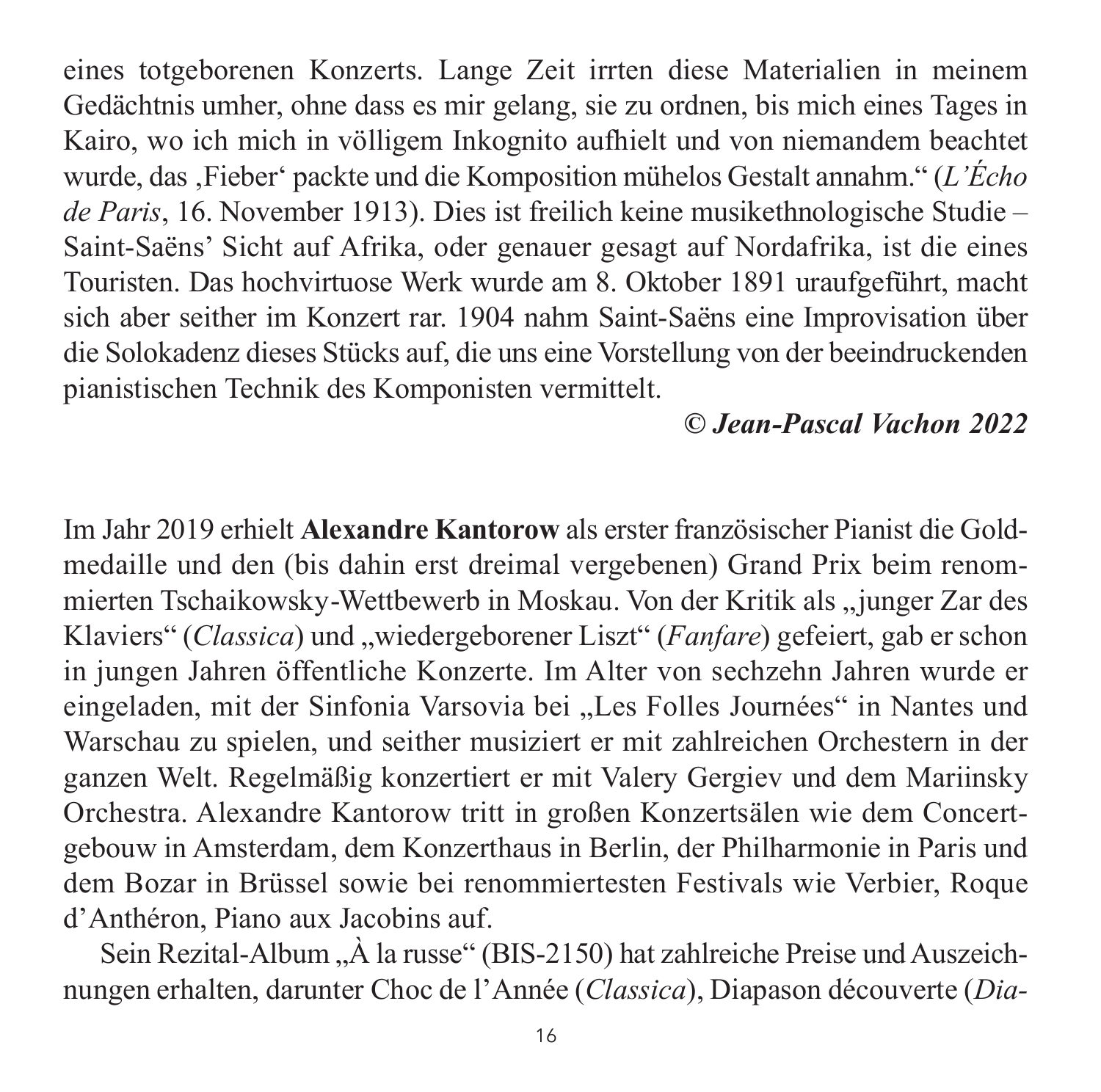eines totgeborenen Konzerts. Lange Zeit irrten diese Materialien in meinem Gedächtnis umher, ohne dass es mir gelang, sie zu ordnen, bis mich eines Tages in Kairo, wo ich mich in völligem Inkognito aufhielt und von niemandem beachtet wurde, das "Fieber" packte und die Komposition mühelos Gestalt annahm." (*L'Écho de Paris*, 16. November 1913). Dies ist freilich keine musikethnologische Studie – Saint-Saëns' Sicht auf Afrika, oder genauer gesagt auf Nordafrika, ist die eines Touristen. Das hochvirtuose Werk wurde am 8. Oktober 1891 uraufgeführt, macht sich aber seither im Konzert rar. 1904 nahm Saint-Saëns eine Improvisation über die Solokadenz dieses Stücks auf, die uns eine Vorstellung von der beeindruckenden pianistischen Technik des Komponisten vermittelt.

#### *© Jean-Pascal Vachon 2022*

Im Jahr 2019 erhielt **Alexandre Kantorow** als erster französischer Pianist die Gold medaille und den (bis dahin erst dreimal vergebenen) Grand Prix beim renom mierten Tschaikowsky-Wettbewerb in Moskau. Von der Kritik als "junger Zar des Klaviers" (*Classica*) und "wiedergeborener Liszt" (*Fanfare*) gefeiert, gab er schon in jungen Jahren öffentliche Konzerte. Im Alter von sechzehn Jahren wurde er eingeladen, mit der Sinfonia Varsovia bei "Les Folles Journées" in Nantes und Warschau zu spielen, und seither musiziert er mit zahlreichen Orchestern in der ganzen Welt. Regelmäßig konzertiert er mit Valery Gergiev und dem Mariinsky Orchestra. Alexandre Kantorow tritt in großen Konzertsälen wie dem Concert gebouw in Amsterdam, dem Konzerthaus in Berlin, der Philharmonie in Paris und dem Bozar in Brüssel sowie bei renommiertesten Festivals wie Verbier, Roque d'Anthéron, Piano aux Jacobins auf.

Sein Rezital-Album "À la russe" (BIS-2150) hat zahlreiche Preise und Auszeichnungen erhalten, darunter Choc de l'Année (*Classica*), Diapason découverte (*Dia -*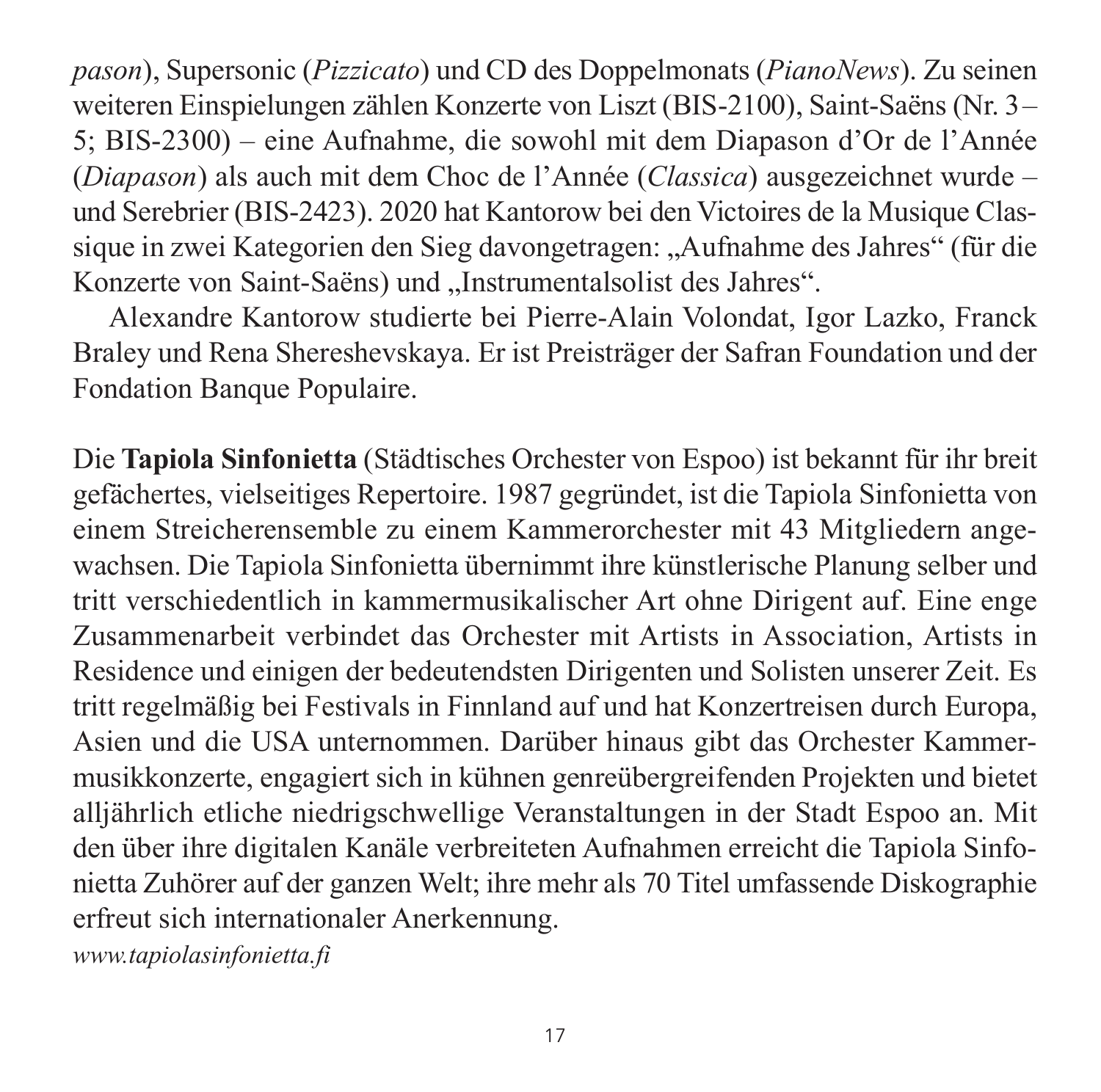*pason*), Supersonic (*Pizzicato*) und CD des Doppelmonats (*PianoNews*). Zu seinen weiteren Einspielungen zählen Konzerte von Liszt (BIS-2100), Saint-Saëns (Nr. 3– 5; BIS-2300) – eine Aufnahme, die sowohl mit dem Diapason d'Or de l'Année (*Diapason*) als auch mit dem Choc de l'Année (*Classica*) ausgezeichnet wurde – und Serebrier (BIS-2423). 2020 hat Kantorow bei den Victoires de la Musique Classique in zwei Kategorien den Sieg davongetragen: "Aufnahme des Jahres" (für die Konzerte von Saint-Saëns) und "Instrumentalsolist des Jahres".

Alexandre Kantorow studierte bei Pierre-Alain Volondat, Igor Lazko, Franck Braley und Rena Shereshevskaya. Er ist Preisträger der Safran Foundation und der Fondation Banque Populaire.

Die **Tapiola Sinfonietta** (Städtisches Orchester von Espoo) ist bekannt für ihr breit ge fächertes, vielseitiges Repertoire. 1987 gegründet, ist die Tapiola Sinfonietta von einem Streicherensemble zu einem Kammerorchester mit 43 Mitgliedern angewachsen. Die Tapiola Sinfonietta übernimmt ihre künstlerische Planung selber und tritt verschiedentlich in kammermusikalischer Art ohne Dirigent auf. Eine enge Zusammenarbeit verbindet das Orchester mit Artists in Association, Artists in Residence und einigen der bedeutendsten Dirigenten und Solisten unserer Zeit. Es tritt regelmäßig bei Festivals in Finn land auf und hat Konzertreisen durch Europa, Asien und die USA unternommen. Darüber hinaus gibt das Orchester Kammer musikkonzerte, engagiert sich in kühnen genreüber greifenden Projekten und bietet alljährlich etliche niedrigschwellige Veranstaltungen in der Stadt Espoo an. Mit den über ihre digitalen Kanäle verbreiteten Aufnahmen erreicht die Tapiola Sinfonietta Zuhörer auf der ganzen Welt; ihre mehr als 70 Titel umfassende Diskographie erfreut sich internationaler Anerkennung.

*[www.tapiolasinfonietta.fi](http://www.tapiolasinfonietta.fi)*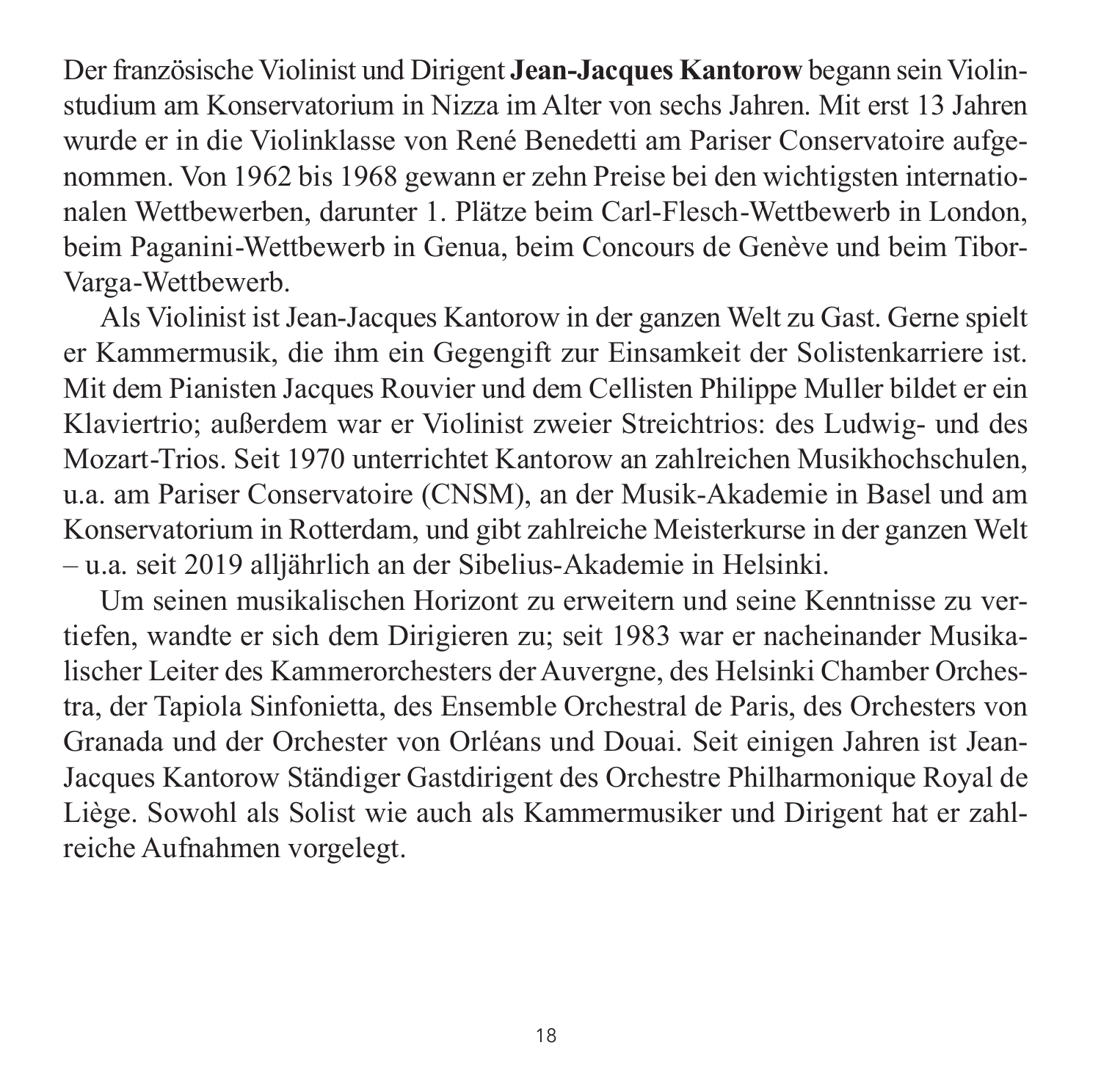Der französische Violinist und Dirigent **Jean-Jacques Kantorow** begann sein Violin studium am Konservatorium in Nizza im Alter von sechs Jahren. Mit erst 13 Jahren wurde er in die Violinklasse von René Benedetti am Pariser Conservatoire aufge nommen. Von 1962 bis 1968 gewann er zehn Preise bei den wichtigsten internationalen Wettbewerben, darunter 1. Plätze beim Carl-Flesch-Wettbewerb in London, beim Paganini-Wettbewerb in Genua, beim Concours de Genève und beim Tibor-Varga-Wettbewerb.

Als Violinist ist Jean-Jacques Kantorow in der ganzen Welt zu Gast. Gerne spielt er Kammermusik, die ihm ein Gegengift zur Einsamkeit der Solistenkarriere ist. Mit dem Pianisten Jacques Rouvier und dem Cellisten Philippe Muller bildet er ein Klaviertrio; außerdem war er Violinist zweier Streichtrios: des Ludwig- und des Mozart-Trios. Seit 1970 unterrichtet Kantorow an zahlreichen Musikhochschulen, u.a. am Pariser Conservatoire (CNSM), an der Musik-Akademie in Basel und am Konservatorium in Rotterdam, und gibt zahlreiche Meisterkurse in der ganzen Welt – u.a. seit 2019 alljährlich an der Sibelius-Akademie in Helsinki.

Um seinen musikalischen Horizont zu erweitern und seine Kenntnisse zu ver tiefen, wandte er sich dem Dirigieren zu; seit 1983 war er nacheinander Musika lischer Leiter des Kammerorchesters der Auvergne, des Helsinki Chamber Orches tra, der Tapiola Sinfonietta, des Ensemble Orchestral de Paris, des Orchesters von Granada und der Orchester von Orléans und Douai. Seit einigen Jahren ist Jean-Jacques Kantorow Ständiger Gastdirigent des Orchestre Philharmonique Royal de Liège. Sowohl als Solist wie auch als Kammermusiker und Dirigent hat er zahlreiche Aufnahmen vorgelegt.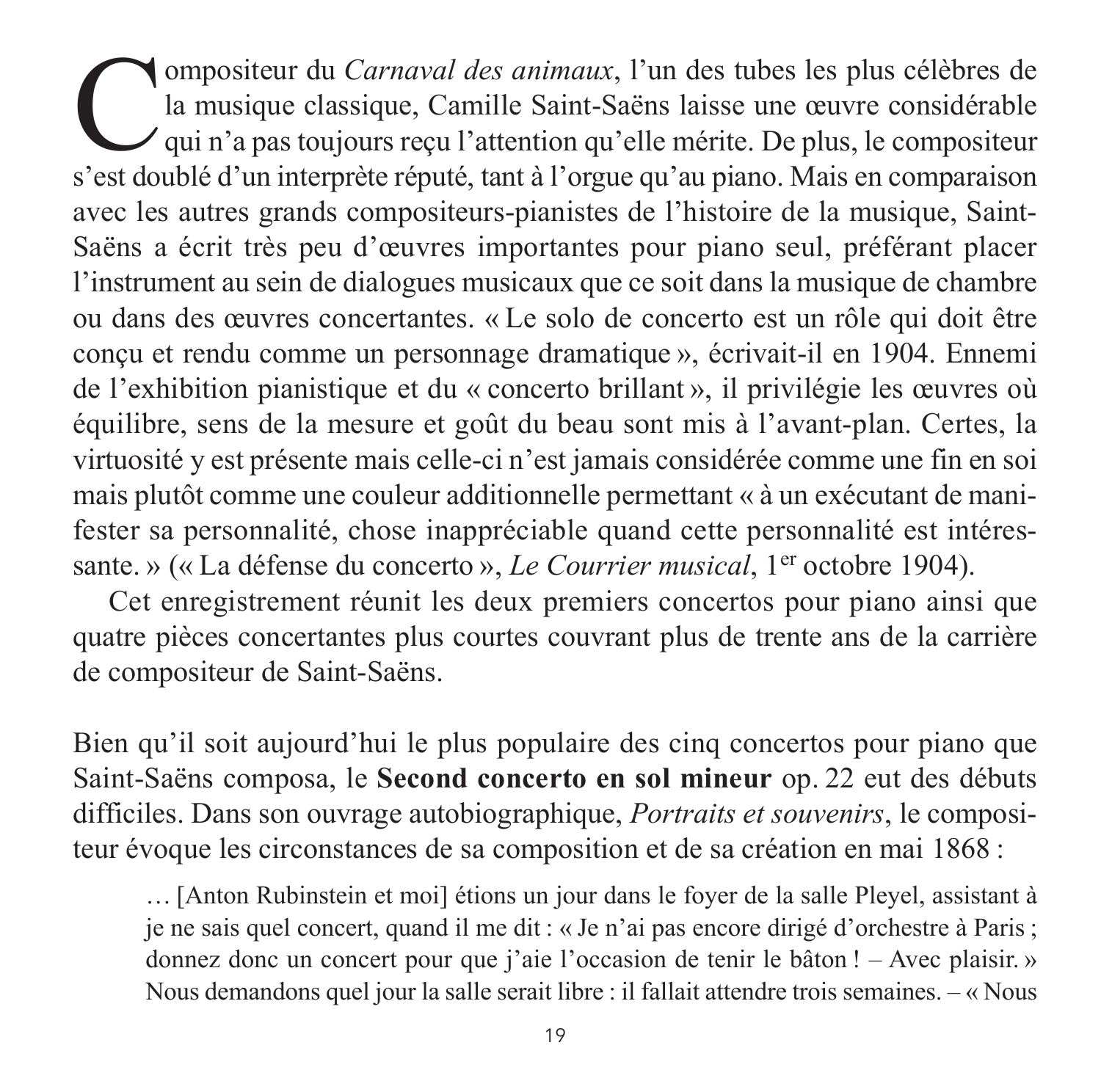Compositeur du *Carnaval des animaux*, l'un des tubes les plus célèbres de<br>la musique classique, Camille Saint-Saëns laisse une œuvre considérable<br>qui n'a pas toujours reçu l'attention qu'elle mérite. De plus, le composite la musique classique, Camille Saint-Saëns laisse une œuvre considérable s'est doublé d'un interprète réputé, tant à l'orgue qu'au piano. Mais en comparaison avec les autres grands compositeurs-pianistes de l'histoire de la musique, Saint-Saëns a écrit très peu d'œuvres importantes pour piano seul, préférant placer l'instrument au sein de dialogues musicaux que ce soit dans la musique de chambre ou dans des œuvres concertantes. « Le solo de concerto est un rôle qui doit être conçu et rendu comme un personnage dramatique », écrivait-il en 1904. Ennemi de l'exhibition pianistique et du « concerto brillant », il privilégie les œuvres où équi libre, sens de la mesure et goût du beau sont mis à l'avant-plan. Certes, la virtuosité y est présente mais celle-ci n'est jamais considérée comme une fin en soi mais plutôt comme une couleur additionnelle permettant « à un exécutant de manifester sa personnalité, chose inappréciable quand cette personnalité est intéressante. » (« La défense du concerto », *Le Courrier musical*, 1<sup>er</sup> octobre 1904).

Cet enregistrement réunit les deux premiers concertos pour piano ainsi que quatre pièces concertantes plus courtes couvrant plus de trente ans de la carrière de compositeur de Saint-Saëns.

Bien qu'il soit aujourd'hui le plus populaire des cinq concertos pour piano que Saint-Saëns composa, le **Second concerto en sol mineur** op. 22 eut des débuts difficiles. Dans son ouvrage autobiographique, *Portraits et souvenirs*, le compositeur évoque les circonstances de sa composition et de sa création en mai 1868 :

… [Anton Rubinstein et moi] étions un jour dans le foyer de la salle Pleyel, assistant à je ne sais quel concert, quand il me dit : « Je n'ai pas encore dirigé d'orchestre à Paris ; donnez donc un concert pour que j'aie l'occasion de tenir le bâton ! – Avec plaisir. » Nous demandons quel jour la salle serait libre : il fallait attendre trois semaines. – « Nous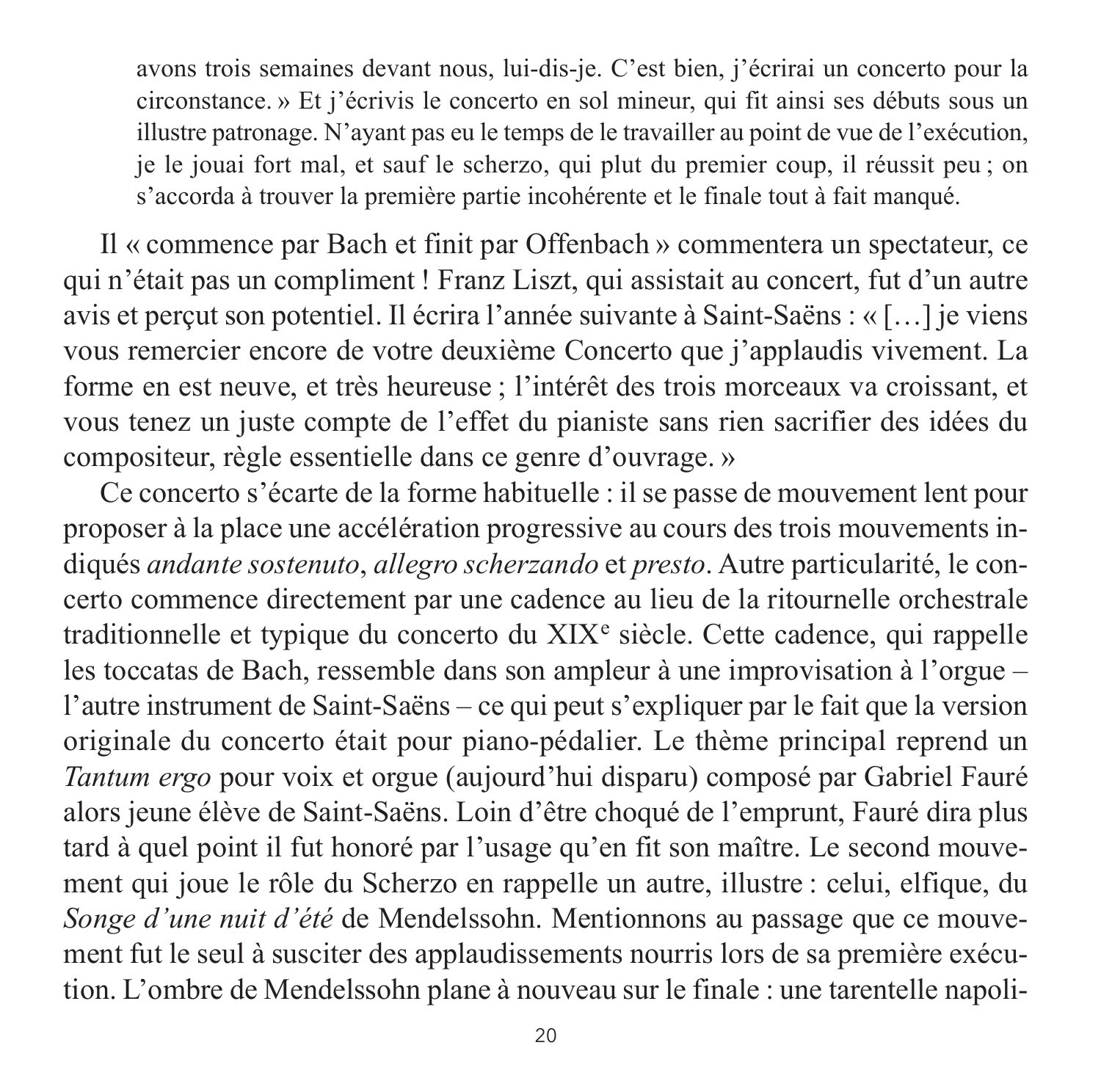avons trois semaines devant nous, lui-dis-je. C'est bien, j'écrirai un concerto pour la circonstance. » Et j'écrivis le concerto en sol mineur, qui fit ainsi ses débuts sous un illustre patronage. N'ayant pas eu le temps de le travailler au point de vue de l'exécution, je le jouai fort mal, et sauf le scherzo, qui plut du premier coup, il réussit peu ; on s'accorda à trouver la première partie incohérente et le finale tout à fait manqué.

Il « commence par Bach et finit par Offenbach » commentera un spectateur, ce qui n'était pas un compliment ! Franz Liszt, qui assistait au concert, fut d'un autre avis et perçut son potentiel. Il écrira l'année suivante à Saint-Saëns : « […] je viens vous remercier encore de votre deuxième Concerto que j'applaudis vivement. La forme en est neuve, et très heureuse ; l'intérêt des trois morceaux va croissant, et vous tenez un juste compte de l'effet du pianiste sans rien sacrifier des idées du com positeur, règle essentielle dans ce genre d'ouvrage. »

Ce concerto s'écarte de la forme habituelle : il se passe de mouvement lent pour proposer à la place une accélération progressive au cours des trois mouvements in diqués *andante sostenuto*, *allegro scherzando* et *presto*. Autre particularité, le con certo commence directement par une cadence au lieu de la ritournelle orchestrale traditionnelle et typique du concerto du XIX<sup>e</sup> siècle. Cette cadence, qui rappelle les toccatas de Bach, ressemble dans son ampleur à une improvisation à l'orgue – l'autre instrument de Saint-Saëns – ce qui peut s'expliquer par le fait que la version originale du concerto était pour piano-pédalier. Le thème principal reprend un *Tantum ergo* pour voix et orgue (aujourd'hui disparu) composé par Gabriel Fauré alors jeune élève de Saint-Saëns. Loin d'être choqué de l'emprunt, Fauré dira plus tard à quel point il fut honoré par l'usage qu'en fit son maître. Le second mouvement qui joue le rôle du Scherzo en rappelle un autre, illustre : celui, elfique, du *Songe d'une nuit d'été* de Mendelssohn. Mentionnons au passage que ce mouvement fut le seul à susciter des applaudissements nourris lors de sa première exécu tion. L'ombre de Mendelssohn plane à nouveau sur le finale : une tarentelle napoli -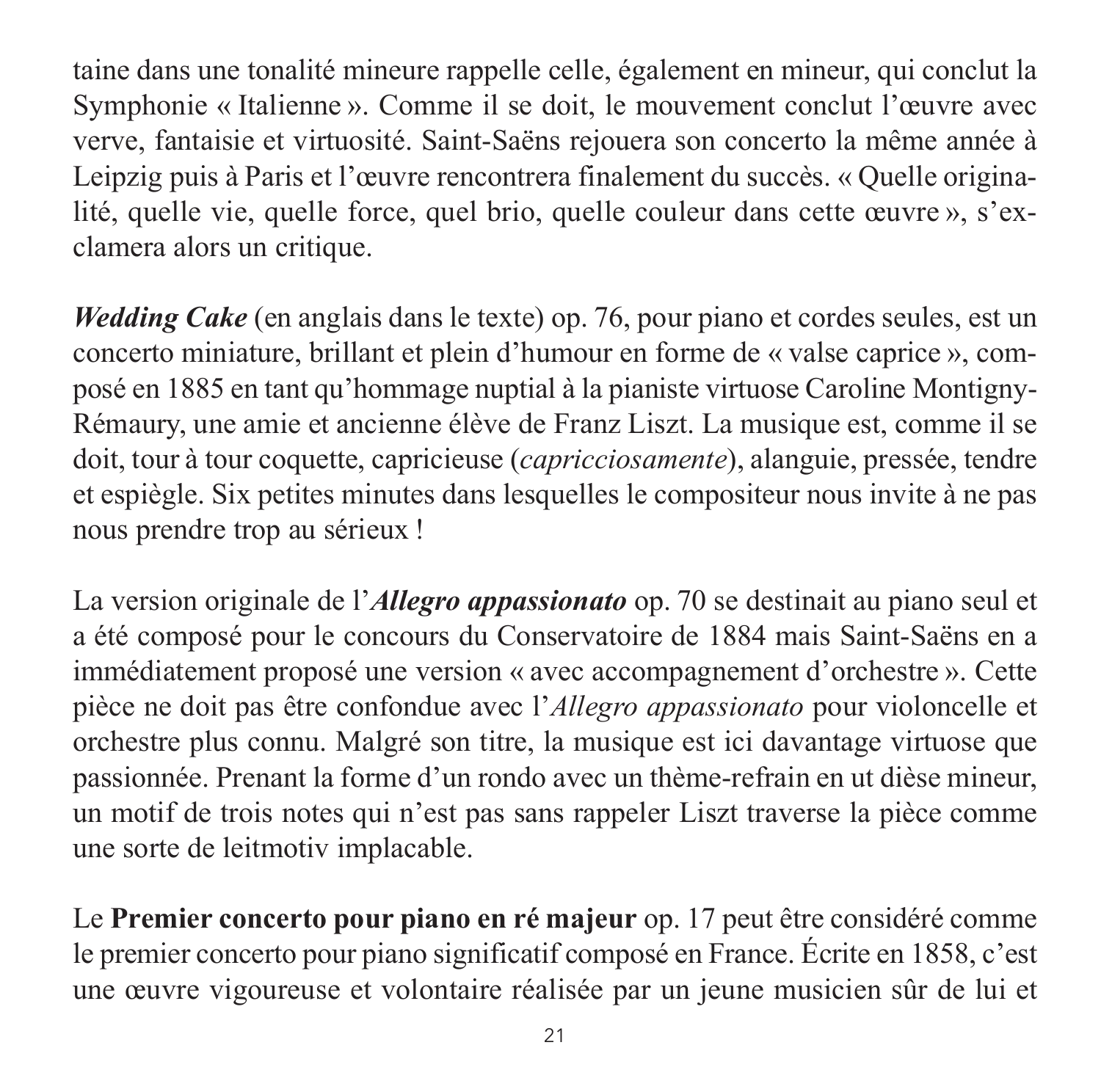taine dans une tonalité mineure rappelle celle, également en mineur, qui conclut la Symphonie « Italienne ». Comme il se doit, le mouvement conclut l'œuvre avec verve, fantaisie et virtuosité. Saint-Saëns rejouera son concerto la même année à Leipzig puis à Paris et l'œuvre rencontrera finalement du succès. « Quelle originalité, quelle vie, quelle force, quel brio, quelle couleur dans cette œuvre », s'exclamera alors un critique.

*Wedding Cake* (en anglais dans le texte) op. 76, pour piano et cordes seules, est un concerto miniature, brillant et plein d'humour en forme de « valse caprice », com posé en 1885 en tant qu'hommage nuptial à la pianiste virtuose Caroline Montigny-Rémaury, une amie et ancienne élève de Franz Liszt. La musique est, comme il se doit, tour à tour coquette, capricieuse (*capricciosamente*), alanguie, pressée, tendre et espiègle. Six petites minutes dans lesquelles le compositeur nous invite à ne pas nous prendre trop au sérieux !

La version originale de l'*Allegro appassionato* op. 70 se destinait au piano seul et a été composé pour le concours du Conservatoire de 1884 mais Saint-Saëns en a immédiatement proposé une version « avec accompagnement d'orchestre ». Cette pièce ne doit pas être confondue avec l'*Allegro appassionato* pour violoncelle et or chestre plus connu. Malgré son titre, la musique est ici davantage virtuose que passionnée. Prenant la forme d'un rondo avec un thème-refrain en ut dièse mineur, un motif de trois notes qui n'est pas sans rappeler Liszt traverse la pièce comme une sorte de leitmotiv implacable.

Le **Premier concerto pour piano en ré majeur** op. 17 peut être considéré comme le premier concerto pour piano significatif composé en France. Écrite en 1858, c'est une œuvre vigoureuse et volontaire réalisée par un jeune musicien sûr de lui et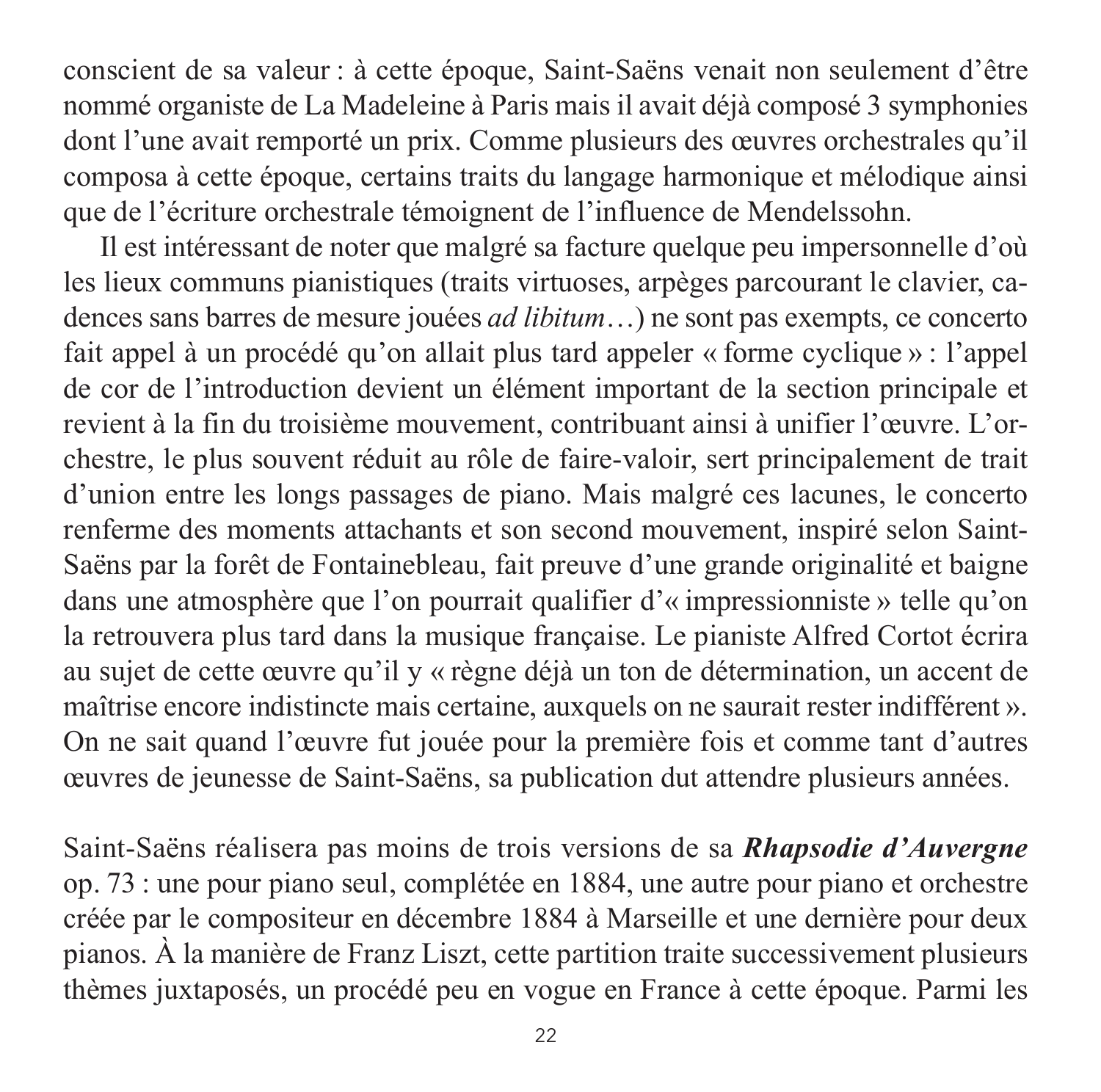conscient de sa valeur : à cette époque, Saint-Saëns venait non seulement d'être nommé organiste de La Madeleine à Paris mais il avait déjà composé 3 symphonies dont l'une avait remporté un prix. Comme plusieurs des œuvres orchestrales qu'il composa à cette époque, certains traits du langage harmonique et mélodique ainsi que de l'écriture orchestrale témoignent de l'influence de Mendelssohn.

Il est intéressant de noter que malgré sa facture quelque peu impersonnelle d'où les lieux communs pianistiques (traits virtuoses, arpèges parcourant le clavier, cadences sans barres de mesure jouées *ad libitum*…) ne sont pas exempts, ce concerto fait appel à un procédé qu'on allait plus tard appeler « forme cyclique » : l'appel de cor de l'introduction devient un élément important de la section principale et re vient à la fin du troisième mouvement, contribuant ainsi à unifier l'œuvre. L'or chestre, le plus souvent réduit au rôle de faire-valoir, sert principalement de trait d'union entre les longs passages de piano. Mais malgré ces lacunes, le concerto ren ferme des moments attachants et son second mouvement, inspiré selon Saint-Saëns par la forêt de Fontainebleau, fait preuve d'une grande originalité et baigne dans une atmosphère que l'on pourrait qualifier d'« impressionniste » telle qu'on la retrouvera plus tard dans la musique française. Le pianiste Alfred Cortot écrira au sujet de cette œuvre qu'il y « règne déjà un ton de détermination, un accent de maîtrise encore indistincte mais certaine, auxquels on ne saurait rester indifférent ». On ne sait quand l'œuvre fut jouée pour la première fois et comme tant d'autres œuvres de jeunesse de Saint-Saëns, sa publication dut attendre plusieurs années.

Saint-Saëns réalisera pas moins de trois versions de sa *Rhapsodie d'Auvergne* op. 73 : une pour piano seul, complétée en 1884, une autre pour piano et orchestre créée par le compositeur en décembre 1884 à Marseille et une dernière pour deux pianos. À la manière de Franz Liszt, cette partition traite successivement plusieurs thèmes juxtaposés, un procédé peu en vogue en France à cette époque. Parmi les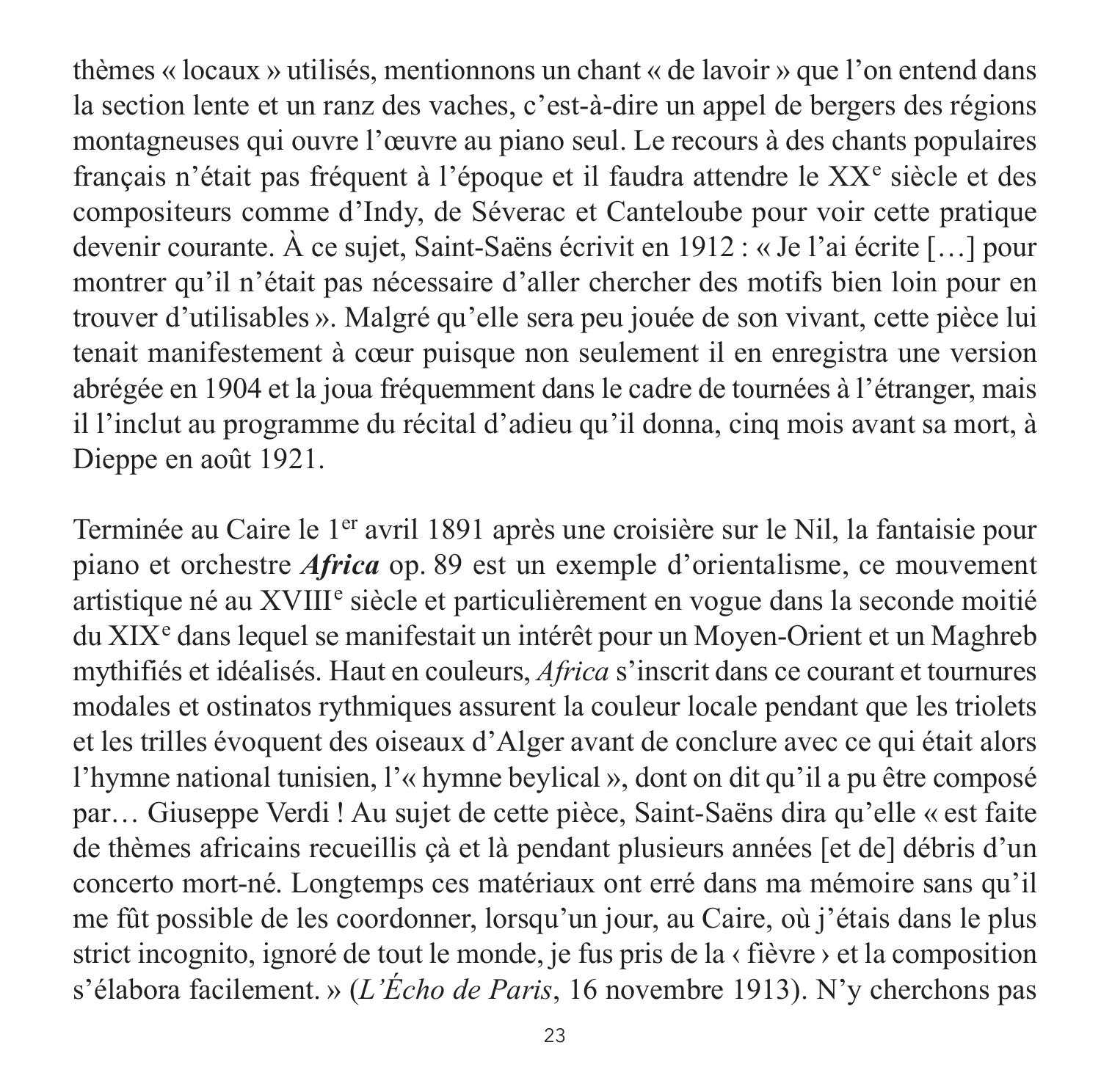thèmes « locaux » utilisés, mentionnons un chant « de lavoir » que l'on entend dans la section lente et un ranz des vaches, c'est-à-dire un appel de bergers des régions montagneuses qui ouvre l'œuvre au piano seul. Le recours à des chants populaires français n'était pas fréquent à l'époque et il faudra attendre le XX<sup>e</sup> siècle et des compositeurs comme d'Indy, de Séverac et Canteloube pour voir cette pratique devenir courante. À ce sujet, Saint-Saëns écrivit en 1912 : « Je l'ai écrite […] pour montrer qu'il n'était pas nécessaire d'aller chercher des motifs bien loin pour en trouver d'utilisables ». Malgré qu'elle sera peu jouée de son vivant, cette pièce lui tenait manifestement à cœur puisque non seulement il en enregistra une version abrégée en 1904 et la joua fréquemment dans le cadre de tournées à l'étranger, mais il l'inclut au programme du récital d'adieu qu'il donna, cinq mois avant sa mort, à Dieppe en août 1921.

Terminée au Caire le 1<sup>er</sup> avril 1891 après une croisière sur le Nil, la fantaisie pour piano et orchestre *Africa* op. 89 est un exemple d'orientalisme, ce mouvement artistique né au XVIII<sup>e</sup> siècle et particulièrement en vogue dans la seconde moitié du XIX<sup>e</sup> dans lequel se manifestait un intérêt pour un Moyen-Orient et un Maghreb mythifiés et idéalisés. Haut en couleurs, *Africa* s'inscrit dans ce courant et tournures modales et ostinatos rythmiques assurent la couleur locale pendant que les triolets et les trilles évoquent des oiseaux d'Alger avant de conclure avec ce qui était alors l'hymne national tunisien, l'« hymne beylical », dont on dit qu'il a pu être composé par… Giuseppe Verdi ! Au sujet de cette pièce, Saint-Saëns dira qu'elle « est faite de thèmes africains recueillis çà et là pendant plusieurs années [et de] débris d'un concerto mort-né. Longtemps ces matériaux ont erré dans ma mémoire sans qu'il me fût possible de les coordonner, lorsqu'un jour, au Caire, où j'étais dans le plus strict incognito, ignoré de tout le monde, je fus pris de la ‹ fièvre › et la composition s'élabora facilement. » (*L'Écho de Paris*, 16 novembre 1913). N'y cherchons pas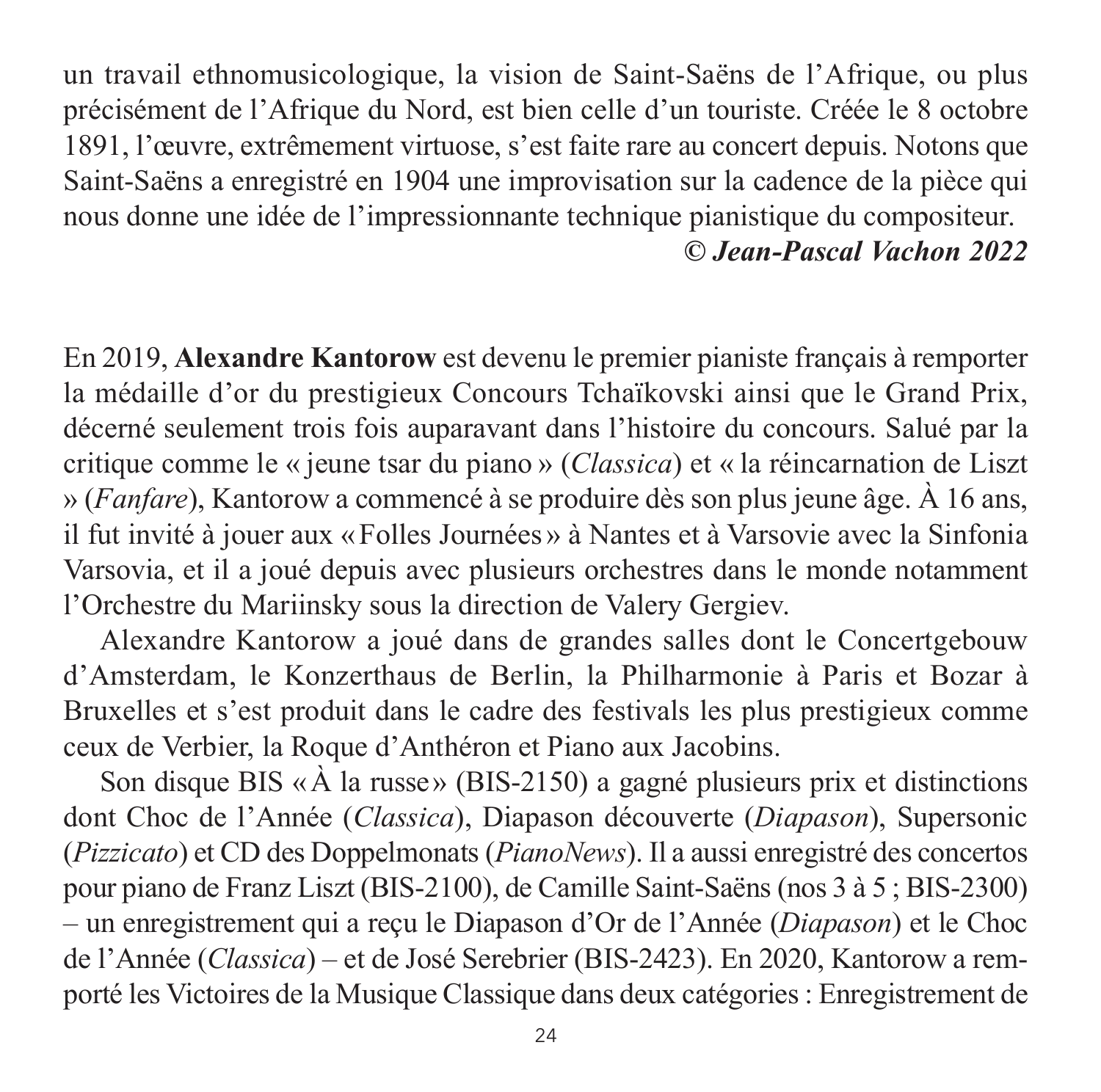un travail ethnomusicologique, la vision de Saint-Saëns de l'Afrique, ou plus précisément de l'Afrique du Nord, est bien celle d'un touriste. Créée le 8 octobre 1891, l'œuvre, extrêmement virtuose, s'est faite rare au concert depuis. Notons que Saint-Saëns a enregistré en 1904 une improvisation sur la cadence de la pièce qui nous donne une idée de l'impres sion nante technique pianistique du compositeur. *© Jean-Pascal Vachon 2022*

En 2019, **Alexandre Kantorow** est devenu le premier pianiste français à remporter la médaille d'or du prestigieux Concours Tchaïkovski ainsi que le Grand Prix, décerné seulement trois fois auparavant dans l'histoire du concours. Salué par la critique comme le « jeune tsar du piano » (*Classica*) et « la réincarnation de Liszt » (*Fanfare*), Kantorow a commencé à se produire dès son plus jeune âge. À 16 ans, il fut invité à jouer aux «Folles Journées» à Nantes et à Varsovie avec la Sinfonia Varsovia, et il a joué depuis avec plusieurs orchestres dans le monde notamment l'Orchestre du Mariinsky sous la direction de Valery Gergiev.

Alexandre Kantorow a joué dans de grandes salles dont le Concertgebouw d'Amsterdam, le Konzerthaus de Berlin, la Philharmonie à Paris et Bozar à Bruxelles et s'est produit dans le cadre des festivals les plus prestigieux comme ceux de Verbier, la Roque d'Anthéron et Piano aux Jacobins.

Son disque BIS « $\overrightarrow{A}$  la russe» (BIS-2150) a gagné plusieurs prix et distinctions dont Choc de l'Année (*Classica*), Diapason découverte (*Diapason*), Supersonic (*Pizzicato*) et CD des Doppelmonats (*PianoNews*). Il a aussi enregistré des concertos pour piano de Franz Liszt (BIS-2100), de Camille Saint-Saëns (nos 3 à 5 ; BIS-2300) – un enregistrement qui a reçu le Diapason d'Or de l'Année (*Diapason*) et le Choc de l'Année (*Classica*) – et de José Serebrier (BIS-2423). En 2020, Kantorow a remporté les Victoires de la Musique Classique dans deux catégories : Enregistrement de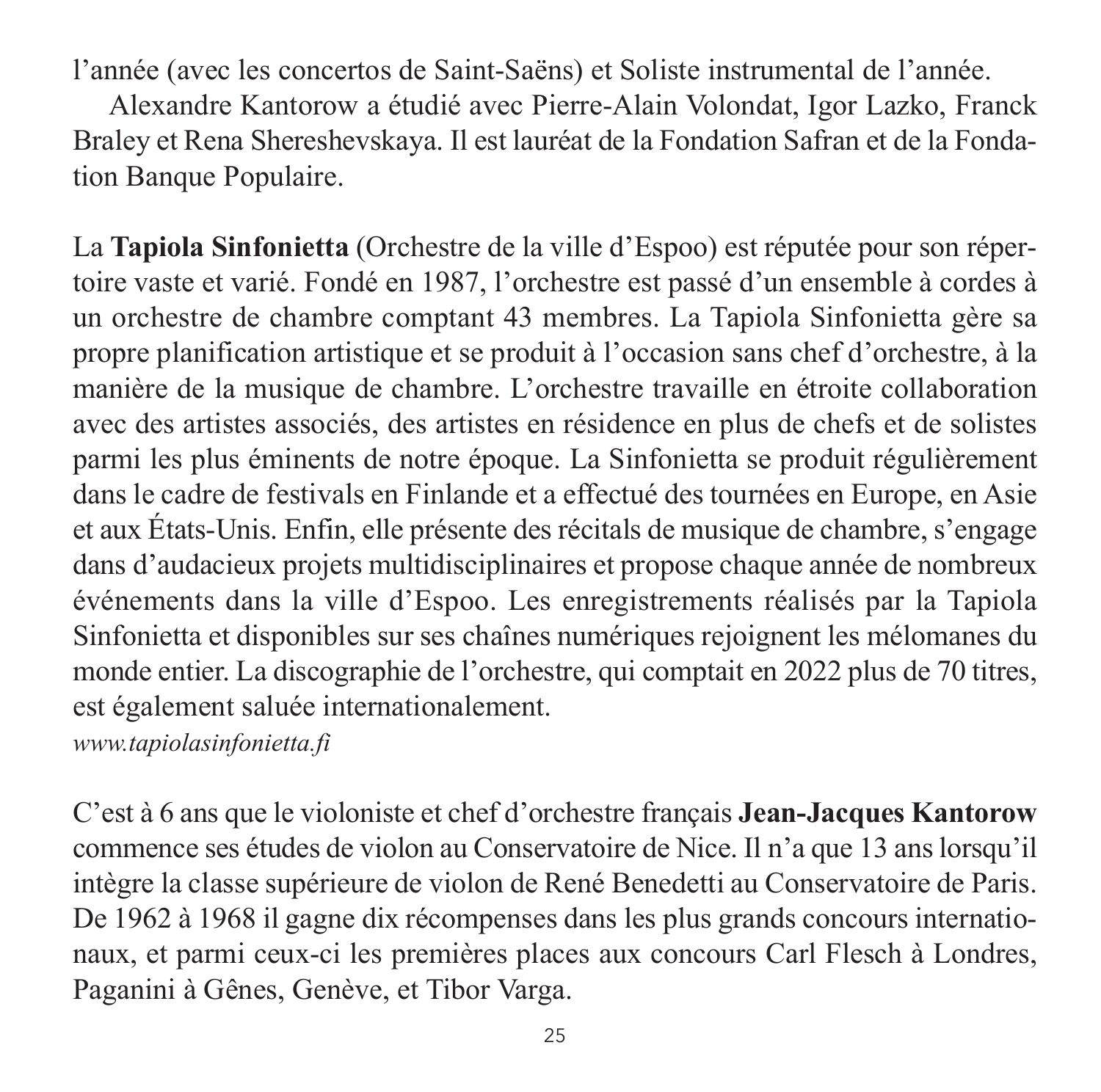l'année (avec les concertos de Saint-Saëns) et Soliste instrumental de l'année.

Alexandre Kantorow a étudié avec Pierre-Alain Volondat, Igor Lazko, Franck Braley et Rena Shereshevskaya. Il est lauréat de la Fondation Safran et de la Fonda tion Banque Populaire.

La **Tapiola Sinfonietta** (Orchestre de la ville d'Espoo) est réputée pour son réper toire vaste et varié. Fondé en 1987, l'orchestre est passé d'un ensemble à cordes à un orchestre de chambre comptant 43 membres. La Tapiola Sinfonietta gère sa propre planification artistique et se produit à l'occasion sans chef d'orchestre, à la manière de la musique de chambre. L'orchestre travaille en étroite collaboration avec des artistes associés, des artistes en résidence en plus de chefs et de solistes parmi les plus éminents de notre époque. La Sinfonietta se produit régulièrement dans le cadre de festivals en Finlande et a effectué des tournées en Europe, en Asie et aux États-Unis. Enfin, elle présente des récitals de musique de chambre, s'engage dans d'audacieux projets multidisciplinaires et propose chaque année de nombreux événements dans la ville d'Espoo. Les enregistrements réa lisés par la Tapiola Sinfonietta et disponibles sur ses chaînes numériques rejoignent les mélomanes du monde entier. La discographie de l'orchestre, qui comptait en 2022 plus de 70 titres, est également saluée internationalement.

*[www.tapiolasinfonietta.fi](http://www.tapiolasinfonietta.fi)*

C'est à 6 ans que le violoniste et chef d'orchestre français **Jean-Jacques Kantorow** commence ses études de violon au Conservatoire de Nice. Il n'a que 13 ans lorsqu'il intègre la classe supérieure de violon de René Benedetti au Conservatoire de Paris. De 1962 à 1968 il gagne dix récompenses dans les plus grands concours internationaux, et parmi ceux-ci les premières places aux concours Carl Flesch à Londres, Paganini à Gênes, Genève, et Tibor Varga.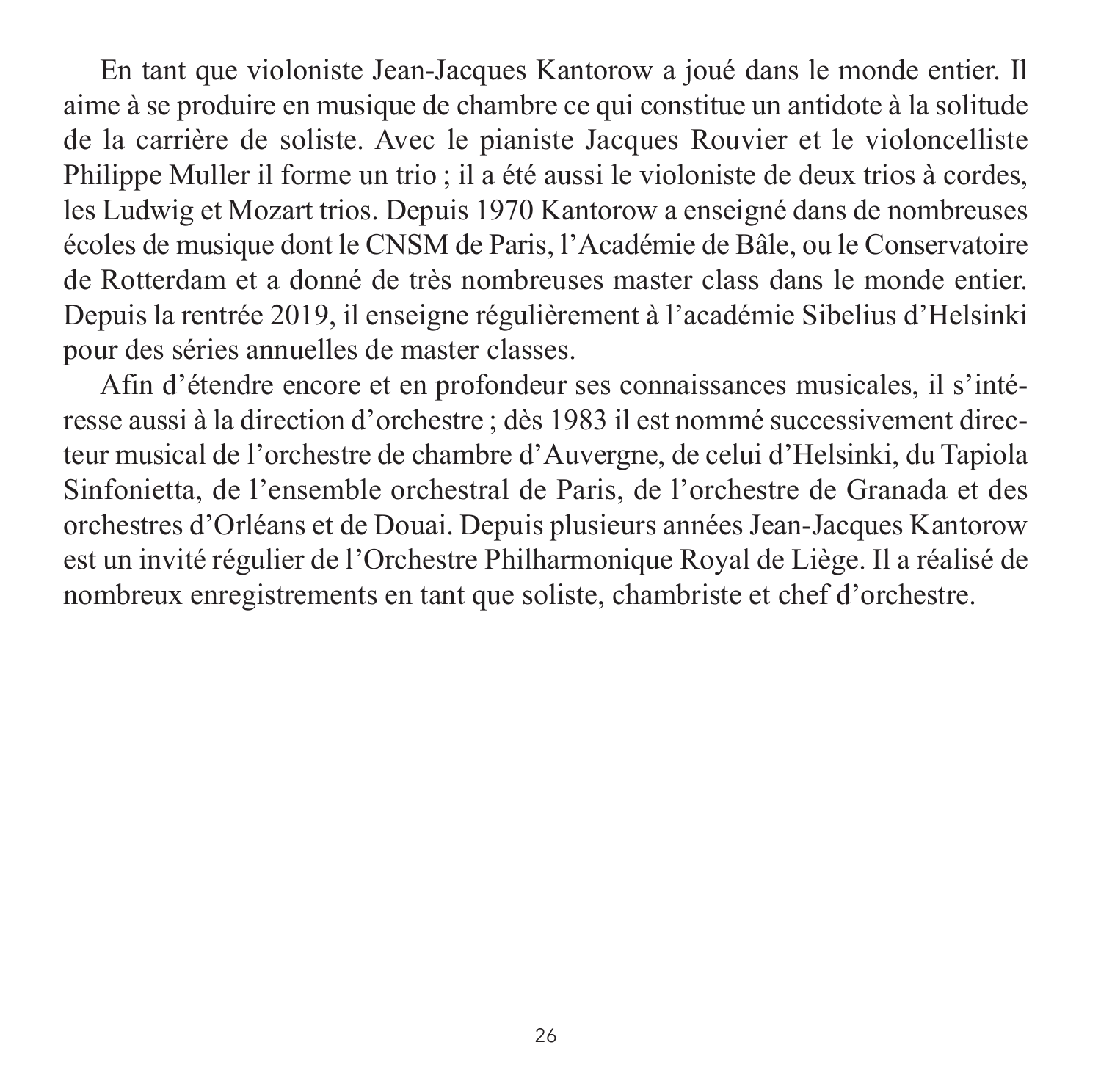En tant que violoniste Jean-Jacques Kantorow a joué dans le monde entier. Il aime à se produire en musique de chambre ce qui constitue un antidote à la solitude de la carrière de soliste. Avec le pianiste Jacques Rouvier et le violoncelliste Philippe Muller il forme un trio ; il a été aussi le violoniste de deux trios à cordes, les Ludwig et Mozart trios. Depuis 1970 Kantorow a enseigné dans de nombreuses écoles de musique dont le CNSM de Paris, l'Académie de Bâle, ou le Conservatoire de Rotterdam et a donné de très nombreuses master class dans le monde entier. Depuis la rentrée 2019, il enseigne régulièrement à l'académie Sibelius d'Helsinki pour des séries annuelles de master classes.

Afin d'étendre encore et en profondeur ses connaissances musicales, il s'inté resse aussi à la direction d'orchestre ; dès 1983 il est nommé successivement direc teur musical de l'orchestre de chambre d'Auvergne, de celui d'Helsinki, du Tapiola Sinfonietta, de l'ensemble orchestral de Paris, de l'orchestre de Granada et des orchestres d'Orléans et de Douai. Depuis plusieurs années Jean-Jacques Kantorow est un invité régulier de l'Orchestre Philharmonique Royal de Liège. Il a réalisé de nom breux enregistrements en tant que soliste, chambriste et chef d'orchestre.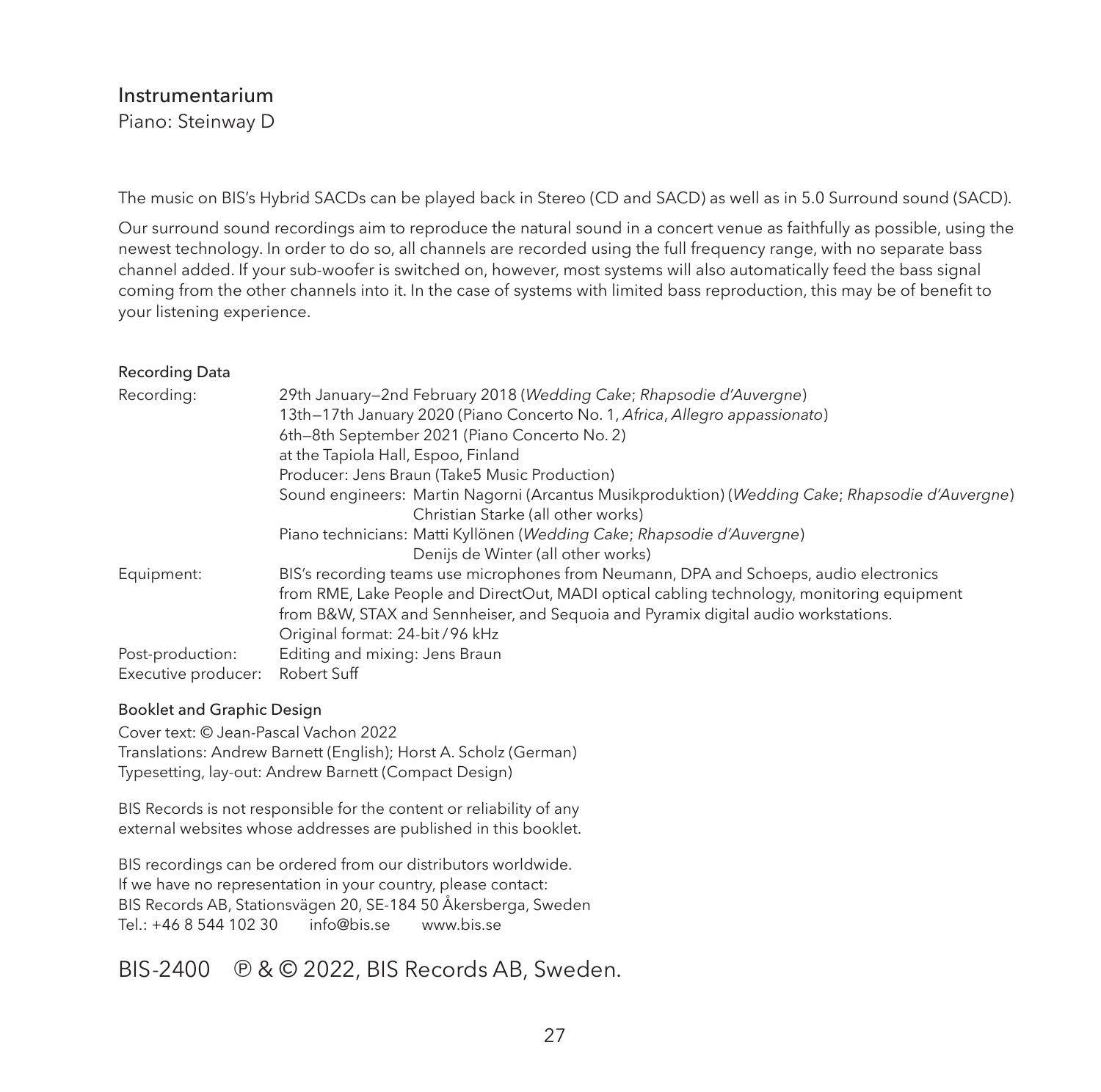#### Instrumentarium Piano: Steinway D

The music on BIS's Hybrid SACDs can be played back in Stereo (CD and SACD) as well as in 5.0 Surround sound (SACD).

Our surround sound recordings aim to reproduce the natural sound in a concert venue as faithfully as possible, using the newest technology. In order to do so, all channels are recorded using the full frequency range, with no separate bass channel added. If your sub-woofer is switched on, however, most systems will also automatically feed the bass signal coming from the other channels into it. In the case of systems with limited bass reproduction, this may be of benefit to your listening experience.

#### Recording Data

| Recordina:          | 29th January-2nd February 2018 (Wedding Cake; Rhapsodie d'Auvergne)                                                                   |
|---------------------|---------------------------------------------------------------------------------------------------------------------------------------|
|                     | 13th-17th January 2020 (Piano Concerto No. 1, Africa, Allegro appassionato)                                                           |
|                     | 6th-8th September 2021 (Piano Concerto No. 2)                                                                                         |
|                     | at the Tapiola Hall, Espoo, Finland                                                                                                   |
|                     | Producer: Jens Braun (Take5 Music Production)                                                                                         |
|                     | Sound engineers: Martin Nagorni (Arcantus Musikproduktion) (Wedding Cake; Rhapsodie d'Auvergne)<br>Christian Starke (all other works) |
|                     | Piano technicians: Matti Kyllönen (Wedding Cake; Rhapsodie d'Auvergne)                                                                |
|                     | Denijs de Winter (all other works)                                                                                                    |
| Equipment:          | BIS's recording teams use microphones from Neumann, DPA and Schoeps, audio electronics                                                |
|                     | from RME, Lake People and DirectOut, MADI optical cabling technology, monitoring equipment                                            |
|                     | from B&W, STAX and Sennheiser, and Sequoia and Pyramix digital audio workstations.                                                    |
|                     | Original format: 24-bit / 96 kHz                                                                                                      |
| Post-production:    | Editing and mixing: Jens Braun                                                                                                        |
| Executive producer: | Robert Suff                                                                                                                           |

#### Booklet and Graphic Design

Cover text: © Jean-Pascal Vachon 2022 Translations: Andrew Barnett (English); Horst A. Scholz (German) Typesetting, lay-out: Andrew Barnett (Compact Design)

BIS Records is not responsible for the content or reliability of any external websites whose addresses are published in this booklet.

BIS recordings can be ordered from our distributors worldwide. If we have no representation in your country, please contact: BIS Records AB, Stationsvägen 20, SE-184 50 Åkersberga, Sweden Tel.: +46 8 544 102 30 [info@bis.se](mailto:info@bis.se) [www.bis.se](http://www.bis.se)

#### BIS-2400 @ & © 2022, BIS Records AB, Sweden.